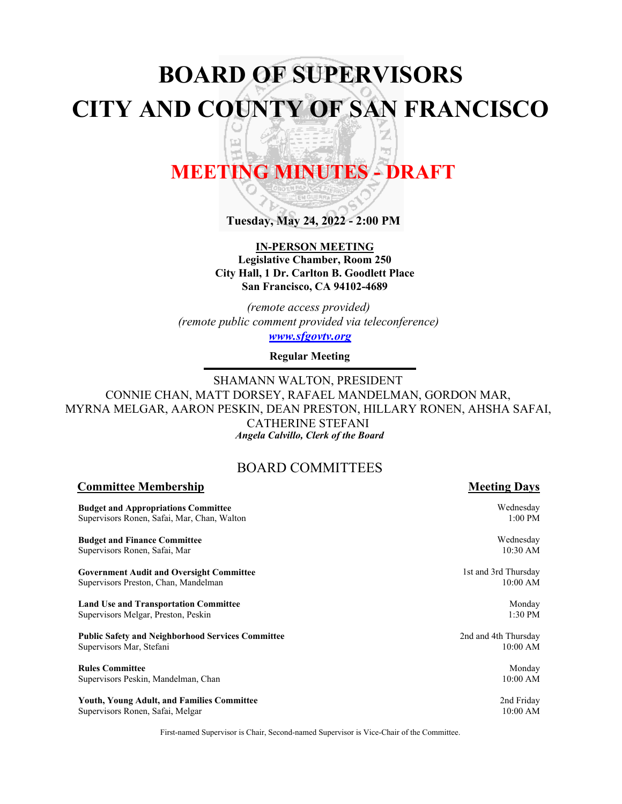# **BOARD OF SUPERVISORS CITY AND COUNTY OF SAN FRANCISCO** Z

# **MEETING MINUTES - DRAFT**

h<sub>il</sub>

덥

**Tuesday, May 24, 2022 - 2:00 PM**

#### **IN-PERSON MEETING Legislative Chamber, Room 250 City Hall, 1 Dr. Carlton B. Goodlett Place San Francisco, CA 94102-4689**

*(remote access provided) (remote public comment provided via teleconference) <www.sfgovtv.org>*

**Regular Meeting**

SHAMANN WALTON, PRESIDENT CONNIE CHAN, MATT DORSEY, RAFAEL MANDELMAN, GORDON MAR, MYRNA MELGAR, AARON PESKIN, DEAN PRESTON, HILLARY RONEN, AHSHA SAFAI, CATHERINE STEFANI *Angela Calvillo, Clerk of the Board*

### BOARD COMMITTEES

#### **Budget and Appropriations Committee** Supervisors Ronen, Safai, Mar, Chan, Walton **Budget and Finance Committee** Supervisors Ronen, Safai, Mar **Government Audit and Oversight Committee** Supervisors Preston, Chan, Mandelman **Land Use and Transportation Committee** Supervisors Melgar, Preston, Peskin **Public Safety and Neighborhood Services Committee** Supervisors Mar, Stefani **Rules Committee** Supervisors Peskin, Mandelman, Chan **Youth, Young Adult, and Families Committee** Supervisors Ronen, Safai, Melgar Wednesday 1:00 PM Wednesday 1st and 3rd Thursday Monday 2nd and 4th Thursday 2nd Friday

First-named Supervisor is Chair, Second-named Supervisor is Vice-Chair of the Committee.

**Committee Membership Meeting Days Meeting Days** 

10:30 AM

10:00 AM

1:30 PM

10:00 AM

Monday 10:00 AM

10:00 AM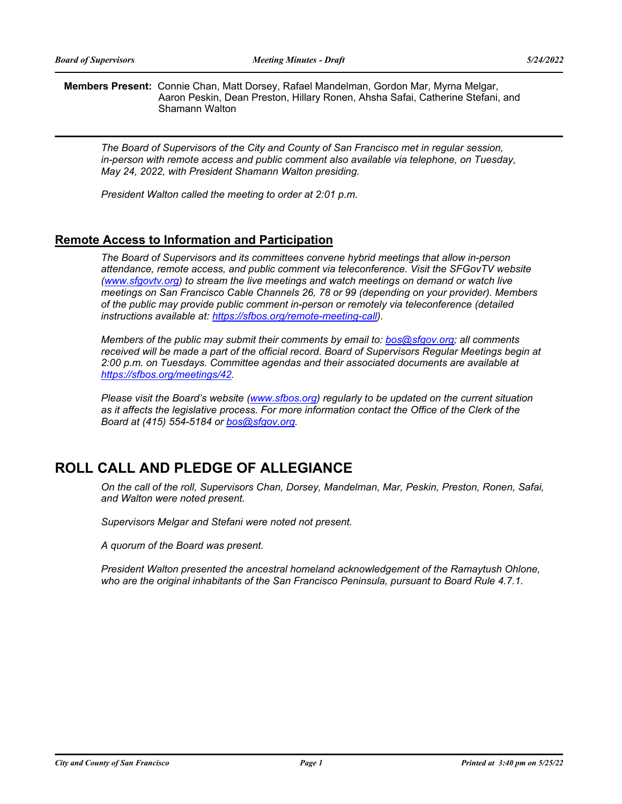**Members Present:** Connie Chan, Matt Dorsey, Rafael Mandelman, Gordon Mar, Myrna Melgar, Aaron Peskin, Dean Preston, Hillary Ronen, Ahsha Safai, Catherine Stefani, and Shamann Walton

*The Board of Supervisors of the City and County of San Francisco met in regular session, in-person with remote access and public comment also available via telephone, on Tuesday, May 24, 2022, with President Shamann Walton presiding.* 

*President Walton called the meeting to order at 2:01 p.m.*

#### **Remote Access to Information and Participation**

*The Board of Supervisors and its committees convene hybrid meetings that allow in-person attendance, remote access, and public comment via teleconference. Visit the SFGovTV website [\(www.sfgovtv.org\)](www.sfgovtv.org) to stream the live meetings and watch meetings on demand or watch live meetings on San Francisco Cable Channels 26, 78 or 99 (depending on your provider). Members of the public may provide public comment in-person or remotely via teleconference (detailed instructions available at: [https://sfbos.org/remote-meeting-call\).](https://sfbos.org/remote-meeting-call)* 

*Members of the public may submit their comments by email to: [bos@sfgov.org;](mailto:bos@sfgov.org) all comments*  received will be made a part of the official record. Board of Supervisors Regular Meetings begin at *2:00 p.m. on Tuesdays. Committee agendas and their associated documents are available at [https://sfbos.org/meetings/42.](https://sfbos.org/meetings/42)*

*Please visit the Board's website [\(www.sfbos.org\)](www.sfbos.org) regularly to be updated on the current situation as it affects the legislative process. For more information contact the Office of the Clerk of the Board at (415) 554-5184 o[r bos@sfgov.org.](mailto:bos@sfgov.org)*

### **ROLL CALL AND PLEDGE OF ALLEGIANCE**

*On the call of the roll, Supervisors Chan, Dorsey, Mandelman, Mar, Peskin, Preston, Ronen, Safai, and Walton were noted present.* 

*Supervisors Melgar and Stefani were noted not present.*

*A quorum of the Board was present.*

*President Walton presented the ancestral homeland acknowledgement of the Ramaytush Ohlone, who are the original inhabitants of the San Francisco Peninsula, pursuant to Board Rule 4.7.1.*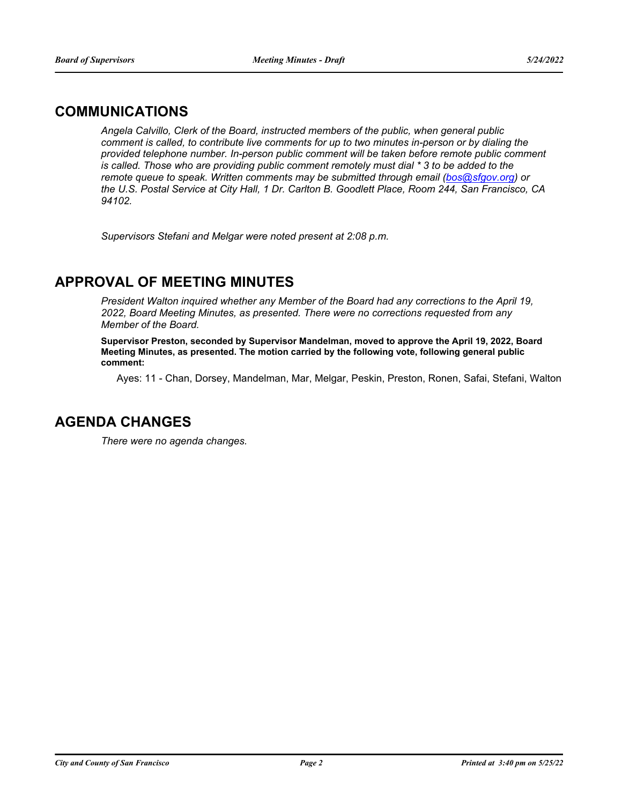### **COMMUNICATIONS**

*Angela Calvillo, Clerk of the Board, instructed members of the public, when general public comment is called, to contribute live comments for up to two minutes in-person or by dialing the provided telephone number. In-person public comment will be taken before remote public comment is called. Those who are providing public comment remotely must dial \* 3 to be added to the remote queue to speak. Written comments may be submitted through email [\(bos@sfgov.org\)](mailto:bos@sfgov.org)* or *the U.S. Postal Service at City Hall, 1 Dr. Carlton B. Goodlett Place, Room 244, San Francisco, CA 94102.*

*Supervisors Stefani and Melgar were noted present at 2:08 p.m.*

### **APPROVAL OF MEETING MINUTES**

*President Walton inquired whether any Member of the Board had any corrections to the April 19, 2022, Board Meeting Minutes, as presented. There were no corrections requested from any Member of the Board.*

**Supervisor Preston, seconded by Supervisor Mandelman, moved to approve the April 19, 2022, Board Meeting Minutes, as presented. The motion carried by the following vote, following general public comment:**

Ayes: 11 - Chan, Dorsey, Mandelman, Mar, Melgar, Peskin, Preston, Ronen, Safai, Stefani, Walton

### **AGENDA CHANGES**

*There were no agenda changes.*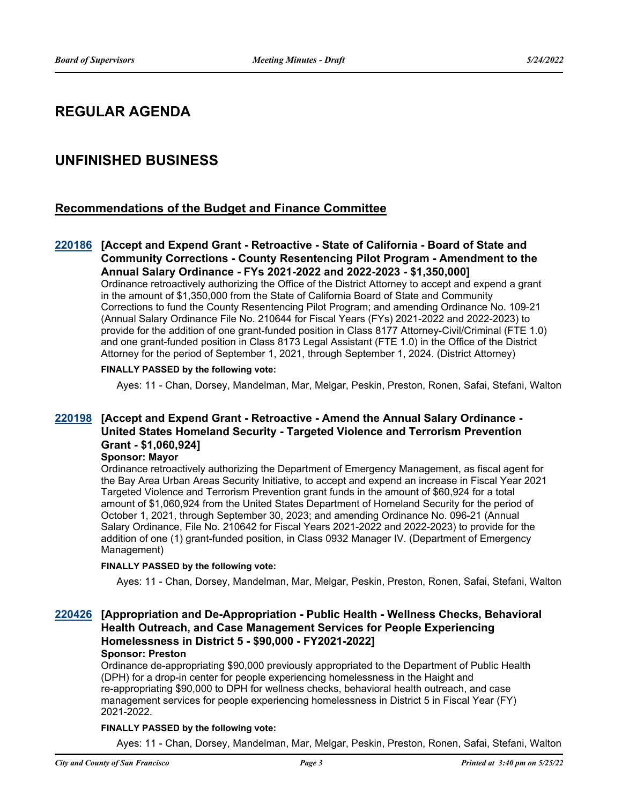### **REGULAR AGENDA**

### **UNFINISHED BUSINESS**

#### **Recommendations of the Budget and Finance Committee**

#### **[Accept and Expend Grant - Retroactive - State of California - Board of State and [220186](http://sfgov.legistar.com/gateway.aspx?m=l&id=38381) Community Corrections - County Resentencing Pilot Program - Amendment to the Annual Salary Ordinance - FYs 2021-2022 and 2022-2023 - \$1,350,000]**

Ordinance retroactively authorizing the Office of the District Attorney to accept and expend a grant in the amount of \$1,350,000 from the State of California Board of State and Community Corrections to fund the County Resentencing Pilot Program; and amending Ordinance No. 109-21 (Annual Salary Ordinance File No. 210644 for Fiscal Years (FYs) 2021-2022 and 2022-2023) to provide for the addition of one grant-funded position in Class 8177 Attorney-Civil/Criminal (FTE 1.0) and one grant-funded position in Class 8173 Legal Assistant (FTE 1.0) in the Office of the District Attorney for the period of September 1, 2021, through September 1, 2024. (District Attorney)

#### **FINALLY PASSED by the following vote:**

Ayes: 11 - Chan, Dorsey, Mandelman, Mar, Melgar, Peskin, Preston, Ronen, Safai, Stefani, Walton

#### **[Accept and Expend Grant - Retroactive - Amend the Annual Salary Ordinance - [220198](http://sfgov.legistar.com/gateway.aspx?m=l&id=38393) United States Homeland Security - Targeted Violence and Terrorism Prevention Grant - \$1,060,924]**

#### **Sponsor: Mayor**

Ordinance retroactively authorizing the Department of Emergency Management, as fiscal agent for the Bay Area Urban Areas Security Initiative, to accept and expend an increase in Fiscal Year 2021 Targeted Violence and Terrorism Prevention grant funds in the amount of \$60,924 for a total amount of \$1,060,924 from the United States Department of Homeland Security for the period of October 1, 2021, through September 30, 2023; and amending Ordinance No. 096-21 (Annual Salary Ordinance, File No. 210642 for Fiscal Years 2021-2022 and 2022-2023) to provide for the addition of one (1) grant-funded position, in Class 0932 Manager IV. (Department of Emergency Management)

#### **FINALLY PASSED by the following vote:**

Ayes: 11 - Chan, Dorsey, Mandelman, Mar, Melgar, Peskin, Preston, Ronen, Safai, Stefani, Walton

#### **[Appropriation and De-Appropriation - Public Health - Wellness Checks, Behavioral [220426](http://sfgov.legistar.com/gateway.aspx?m=l&id=38618) Health Outreach, and Case Management Services for People Experiencing Homelessness in District 5 - \$90,000 - FY2021-2022]**

#### **Sponsor: Preston**

Ordinance de-appropriating \$90,000 previously appropriated to the Department of Public Health (DPH) for a drop-in center for people experiencing homelessness in the Haight and re-appropriating \$90,000 to DPH for wellness checks, behavioral health outreach, and case management services for people experiencing homelessness in District 5 in Fiscal Year (FY) 2021-2022.

#### **FINALLY PASSED by the following vote:**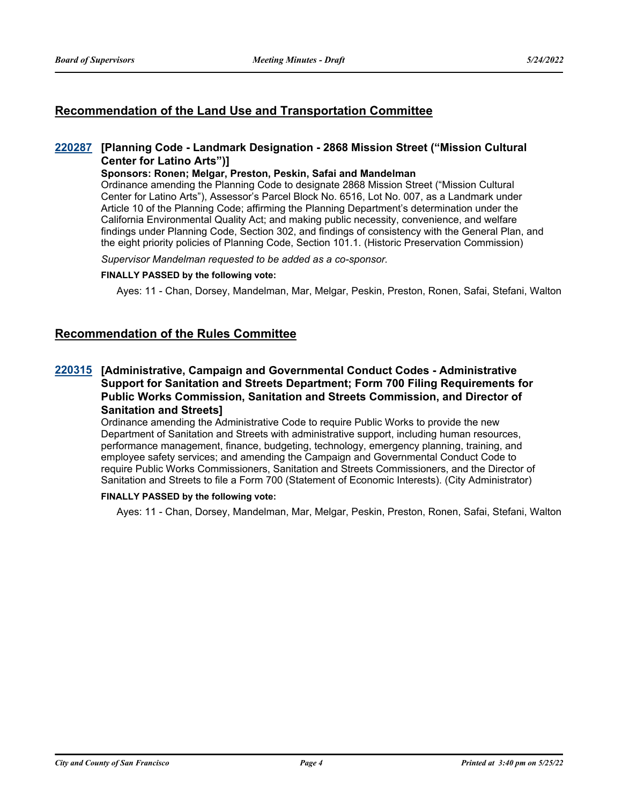### **Recommendation of the Land Use and Transportation Committee**

#### **[Planning Code - Landmark Designation - 2868 Mission Street ("Mission Cultural [220287](http://sfgov.legistar.com/gateway.aspx?m=l&id=38479) Center for Latino Arts")]**

#### **Sponsors: Ronen; Melgar, Preston, Peskin, Safai and Mandelman**

Ordinance amending the Planning Code to designate 2868 Mission Street ("Mission Cultural Center for Latino Arts"), Assessor's Parcel Block No. 6516, Lot No. 007, as a Landmark under Article 10 of the Planning Code; affirming the Planning Department's determination under the California Environmental Quality Act; and making public necessity, convenience, and welfare findings under Planning Code, Section 302, and findings of consistency with the General Plan, and the eight priority policies of Planning Code, Section 101.1. (Historic Preservation Commission)

*Supervisor Mandelman requested to be added as a co-sponsor.*

#### **FINALLY PASSED by the following vote:**

Ayes: 11 - Chan, Dorsey, Mandelman, Mar, Melgar, Peskin, Preston, Ronen, Safai, Stefani, Walton

#### **Recommendation of the Rules Committee**

#### **[Administrative, Campaign and Governmental Conduct Codes - Administrative [220315](http://sfgov.legistar.com/gateway.aspx?m=l&id=38507) Support for Sanitation and Streets Department; Form 700 Filing Requirements for Public Works Commission, Sanitation and Streets Commission, and Director of Sanitation and Streets]**

Ordinance amending the Administrative Code to require Public Works to provide the new Department of Sanitation and Streets with administrative support, including human resources, performance management, finance, budgeting, technology, emergency planning, training, and employee safety services; and amending the Campaign and Governmental Conduct Code to require Public Works Commissioners, Sanitation and Streets Commissioners, and the Director of Sanitation and Streets to file a Form 700 (Statement of Economic Interests). (City Administrator)

#### **FINALLY PASSED by the following vote:**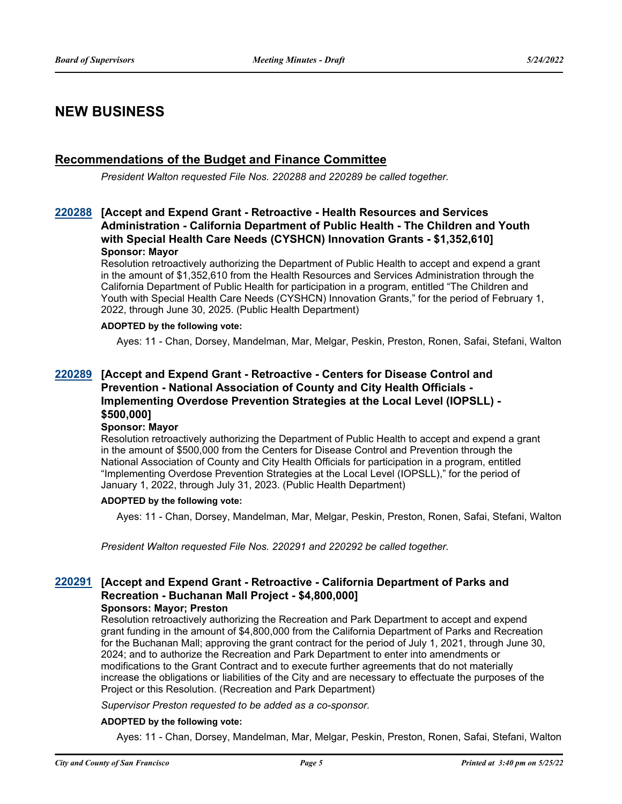### **NEW BUSINESS**

#### **Recommendations of the Budget and Finance Committee**

*President Walton requested File Nos. 220288 and 220289 be called together.*

#### **[Accept and Expend Grant - Retroactive - Health Resources and Services [220288](http://sfgov.legistar.com/gateway.aspx?m=l&id=38480) Administration - California Department of Public Health - The Children and Youth with Special Health Care Needs (CYSHCN) Innovation Grants - \$1,352,610] Sponsor: Mayor**

Resolution retroactively authorizing the Department of Public Health to accept and expend a grant in the amount of \$1,352,610 from the Health Resources and Services Administration through the California Department of Public Health for participation in a program, entitled "The Children and Youth with Special Health Care Needs (CYSHCN) Innovation Grants," for the period of February 1, 2022, through June 30, 2025. (Public Health Department)

#### **ADOPTED by the following vote:**

Ayes: 11 - Chan, Dorsey, Mandelman, Mar, Melgar, Peskin, Preston, Ronen, Safai, Stefani, Walton

#### **[Accept and Expend Grant - Retroactive - Centers for Disease Control and [220289](http://sfgov.legistar.com/gateway.aspx?m=l&id=38481) Prevention - National Association of County and City Health Officials - Implementing Overdose Prevention Strategies at the Local Level (IOPSLL) - \$500,000]**

#### **Sponsor: Mayor**

Resolution retroactively authorizing the Department of Public Health to accept and expend a grant in the amount of \$500,000 from the Centers for Disease Control and Prevention through the National Association of County and City Health Officials for participation in a program, entitled "Implementing Overdose Prevention Strategies at the Local Level (IOPSLL)," for the period of January 1, 2022, through July 31, 2023. (Public Health Department)

#### **ADOPTED by the following vote:**

Ayes: 11 - Chan, Dorsey, Mandelman, Mar, Melgar, Peskin, Preston, Ronen, Safai, Stefani, Walton

*President Walton requested File Nos. 220291 and 220292 be called together.*

#### **[Accept and Expend Grant - Retroactive - California Department of Parks and [220291](http://sfgov.legistar.com/gateway.aspx?m=l&id=38483) Recreation - Buchanan Mall Project - \$4,800,000] Sponsors: Mayor; Preston**

Resolution retroactively authorizing the Recreation and Park Department to accept and expend grant funding in the amount of \$4,800,000 from the California Department of Parks and Recreation for the Buchanan Mall; approving the grant contract for the period of July 1, 2021, through June 30, 2024; and to authorize the Recreation and Park Department to enter into amendments or modifications to the Grant Contract and to execute further agreements that do not materially increase the obligations or liabilities of the City and are necessary to effectuate the purposes of the Project or this Resolution. (Recreation and Park Department)

*Supervisor Preston requested to be added as a co-sponsor.*

#### **ADOPTED by the following vote:**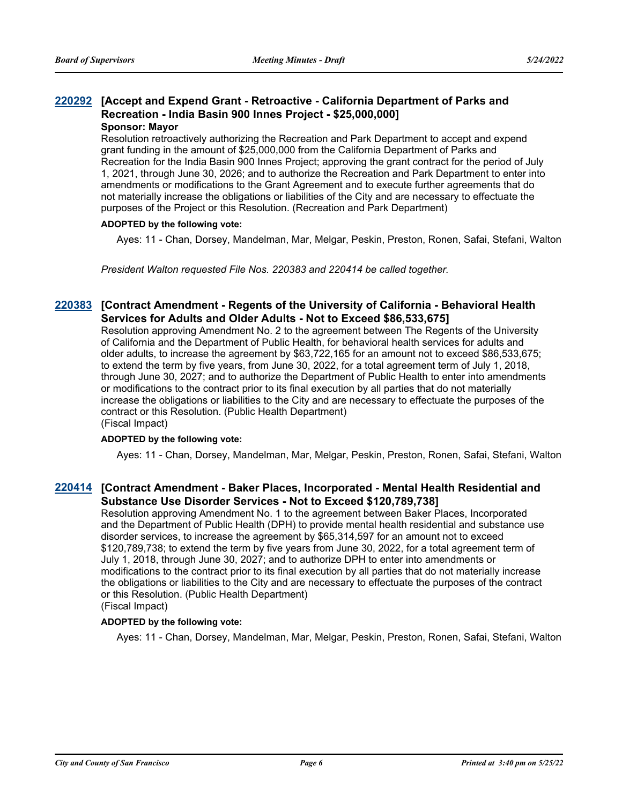#### **[Accept and Expend Grant - Retroactive - California Department of Parks and [220292](http://sfgov.legistar.com/gateway.aspx?m=l&id=38484) Recreation - India Basin 900 Innes Project - \$25,000,000] Sponsor: Mayor**

Resolution retroactively authorizing the Recreation and Park Department to accept and expend grant funding in the amount of \$25,000,000 from the California Department of Parks and Recreation for the India Basin 900 Innes Project; approving the grant contract for the period of July 1, 2021, through June 30, 2026; and to authorize the Recreation and Park Department to enter into amendments or modifications to the Grant Agreement and to execute further agreements that do not materially increase the obligations or liabilities of the City and are necessary to effectuate the purposes of the Project or this Resolution. (Recreation and Park Department)

#### **ADOPTED by the following vote:**

Ayes: 11 - Chan, Dorsey, Mandelman, Mar, Melgar, Peskin, Preston, Ronen, Safai, Stefani, Walton

*President Walton requested File Nos. 220383 and 220414 be called together.*

#### **[Contract Amendment - Regents of the University of California - Behavioral Health [220383](http://sfgov.legistar.com/gateway.aspx?m=l&id=38575) Services for Adults and Older Adults - Not to Exceed \$86,533,675]**

Resolution approving Amendment No. 2 to the agreement between The Regents of the University of California and the Department of Public Health, for behavioral health services for adults and older adults, to increase the agreement by \$63,722,165 for an amount not to exceed \$86,533,675; to extend the term by five years, from June 30, 2022, for a total agreement term of July 1, 2018, through June 30, 2027; and to authorize the Department of Public Health to enter into amendments or modifications to the contract prior to its final execution by all parties that do not materially increase the obligations or liabilities to the City and are necessary to effectuate the purposes of the contract or this Resolution. (Public Health Department)

(Fiscal Impact)

#### **ADOPTED by the following vote:**

Ayes: 11 - Chan, Dorsey, Mandelman, Mar, Melgar, Peskin, Preston, Ronen, Safai, Stefani, Walton

#### **[Contract Amendment - Baker Places, Incorporated - Mental Health Residential and [220414](http://sfgov.legistar.com/gateway.aspx?m=l&id=38606) Substance Use Disorder Services - Not to Exceed \$120,789,738]**

Resolution approving Amendment No. 1 to the agreement between Baker Places, Incorporated and the Department of Public Health (DPH) to provide mental health residential and substance use disorder services, to increase the agreement by \$65,314,597 for an amount not to exceed \$120,789,738; to extend the term by five years from June 30, 2022, for a total agreement term of July 1, 2018, through June 30, 2027; and to authorize DPH to enter into amendments or modifications to the contract prior to its final execution by all parties that do not materially increase the obligations or liabilities to the City and are necessary to effectuate the purposes of the contract or this Resolution. (Public Health Department)

(Fiscal Impact)

#### **ADOPTED by the following vote:**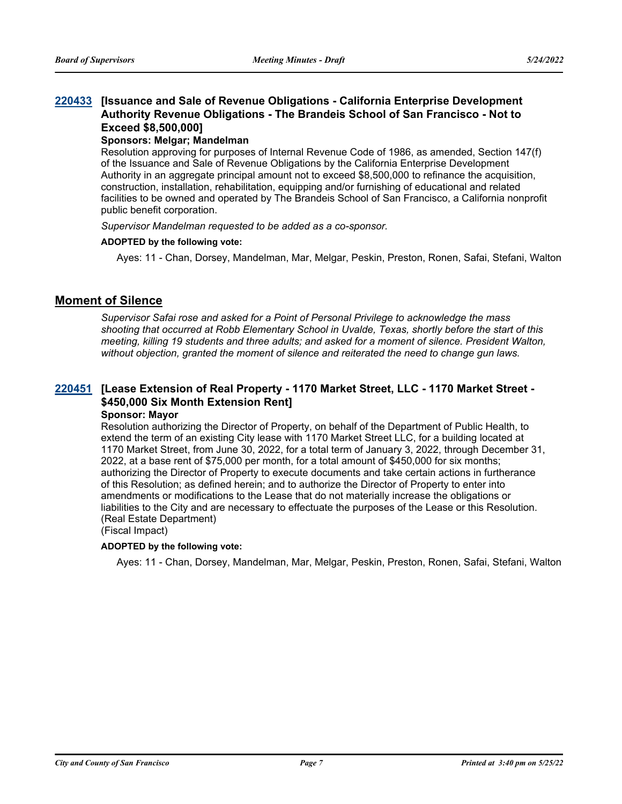#### **[Issuance and Sale of Revenue Obligations - California Enterprise Development [220433](http://sfgov.legistar.com/gateway.aspx?m=l&id=38625) Authority Revenue Obligations - The Brandeis School of San Francisco - Not to Exceed \$8,500,000]**

#### **Sponsors: Melgar; Mandelman**

Resolution approving for purposes of Internal Revenue Code of 1986, as amended, Section 147(f) of the Issuance and Sale of Revenue Obligations by the California Enterprise Development Authority in an aggregate principal amount not to exceed \$8,500,000 to refinance the acquisition, construction, installation, rehabilitation, equipping and/or furnishing of educational and related facilities to be owned and operated by The Brandeis School of San Francisco, a California nonprofit public benefit corporation.

*Supervisor Mandelman requested to be added as a co-sponsor.*

#### **ADOPTED by the following vote:**

Ayes: 11 - Chan, Dorsey, Mandelman, Mar, Melgar, Peskin, Preston, Ronen, Safai, Stefani, Walton

#### **Moment of Silence**

*Supervisor Safai rose and asked for a Point of Personal Privilege to acknowledge the mass shooting that occurred at Robb Elementary School in Uvalde, Texas, shortly before the start of this meeting, killing 19 students and three adults; and asked for a moment of silence. President Walton, without objection, granted the moment of silence and reiterated the need to change gun laws.*

### **[Lease Extension of Real Property - 1170 Market Street, LLC - 1170 Market Street - [220451](http://sfgov.legistar.com/gateway.aspx?m=l&id=38643) \$450,000 Six Month Extension Rent]**

#### **Sponsor: Mayor**

Resolution authorizing the Director of Property, on behalf of the Department of Public Health, to extend the term of an existing City lease with 1170 Market Street LLC, for a building located at 1170 Market Street, from June 30, 2022, for a total term of January 3, 2022, through December 31, 2022, at a base rent of \$75,000 per month, for a total amount of \$450,000 for six months; authorizing the Director of Property to execute documents and take certain actions in furtherance of this Resolution; as defined herein; and to authorize the Director of Property to enter into amendments or modifications to the Lease that do not materially increase the obligations or liabilities to the City and are necessary to effectuate the purposes of the Lease or this Resolution. (Real Estate Department)

#### (Fiscal Impact)

#### **ADOPTED by the following vote:**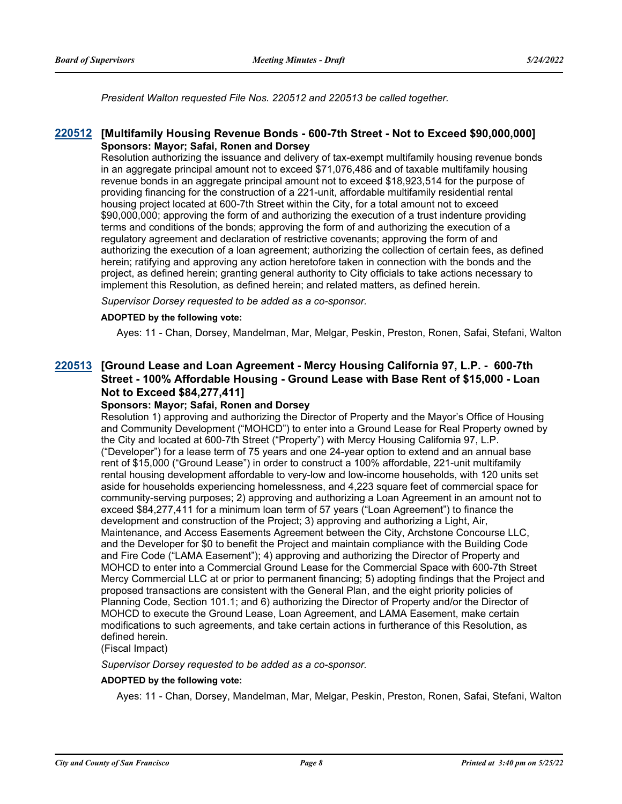*President Walton requested File Nos. 220512 and 220513 be called together.*

#### **[220512](http://sfgov.legistar.com/gateway.aspx?m=l&id=38704) [Multifamily Housing Revenue Bonds - 600-7th Street - Not to Exceed \$90,000,000] Sponsors: Mayor; Safai, Ronen and Dorsey**

Resolution authorizing the issuance and delivery of tax-exempt multifamily housing revenue bonds in an aggregate principal amount not to exceed \$71,076,486 and of taxable multifamily housing revenue bonds in an aggregate principal amount not to exceed \$18,923,514 for the purpose of providing financing for the construction of a 221-unit, affordable multifamily residential rental housing project located at 600-7th Street within the City, for a total amount not to exceed \$90,000,000; approving the form of and authorizing the execution of a trust indenture providing terms and conditions of the bonds; approving the form of and authorizing the execution of a regulatory agreement and declaration of restrictive covenants; approving the form of and authorizing the execution of a loan agreement; authorizing the collection of certain fees, as defined herein; ratifying and approving any action heretofore taken in connection with the bonds and the project, as defined herein; granting general authority to City officials to take actions necessary to implement this Resolution, as defined herein; and related matters, as defined herein.

*Supervisor Dorsey requested to be added as a co-sponsor.*

#### **ADOPTED by the following vote:**

Ayes: 11 - Chan, Dorsey, Mandelman, Mar, Melgar, Peskin, Preston, Ronen, Safai, Stefani, Walton

#### **[Ground Lease and Loan Agreement - Mercy Housing California 97, L.P. - 600-7th [220513](http://sfgov.legistar.com/gateway.aspx?m=l&id=38705) Street - 100% Affordable Housing - Ground Lease with Base Rent of \$15,000 - Loan Not to Exceed \$84,277,411]**

#### **Sponsors: Mayor; Safai, Ronen and Dorsey**

Resolution 1) approving and authorizing the Director of Property and the Mayor's Office of Housing and Community Development ("MOHCD") to enter into a Ground Lease for Real Property owned by the City and located at 600-7th Street ("Property") with Mercy Housing California 97, L.P. ("Developer") for a lease term of 75 years and one 24-year option to extend and an annual base rent of \$15,000 ("Ground Lease") in order to construct a 100% affordable, 221-unit multifamily rental housing development affordable to very-low and low-income households, with 120 units set aside for households experiencing homelessness, and 4,223 square feet of commercial space for community-serving purposes; 2) approving and authorizing a Loan Agreement in an amount not to exceed \$84,277,411 for a minimum loan term of 57 years ("Loan Agreement") to finance the development and construction of the Project; 3) approving and authorizing a Light, Air, Maintenance, and Access Easements Agreement between the City, Archstone Concourse LLC, and the Developer for \$0 to benefit the Project and maintain compliance with the Building Code and Fire Code ("LAMA Easement"); 4) approving and authorizing the Director of Property and MOHCD to enter into a Commercial Ground Lease for the Commercial Space with 600-7th Street Mercy Commercial LLC at or prior to permanent financing; 5) adopting findings that the Project and proposed transactions are consistent with the General Plan, and the eight priority policies of Planning Code, Section 101.1; and 6) authorizing the Director of Property and/or the Director of MOHCD to execute the Ground Lease, Loan Agreement, and LAMA Easement, make certain modifications to such agreements, and take certain actions in furtherance of this Resolution, as defined herein.

### (Fiscal Impact)

#### *Supervisor Dorsey requested to be added as a co-sponsor.*

#### **ADOPTED by the following vote:**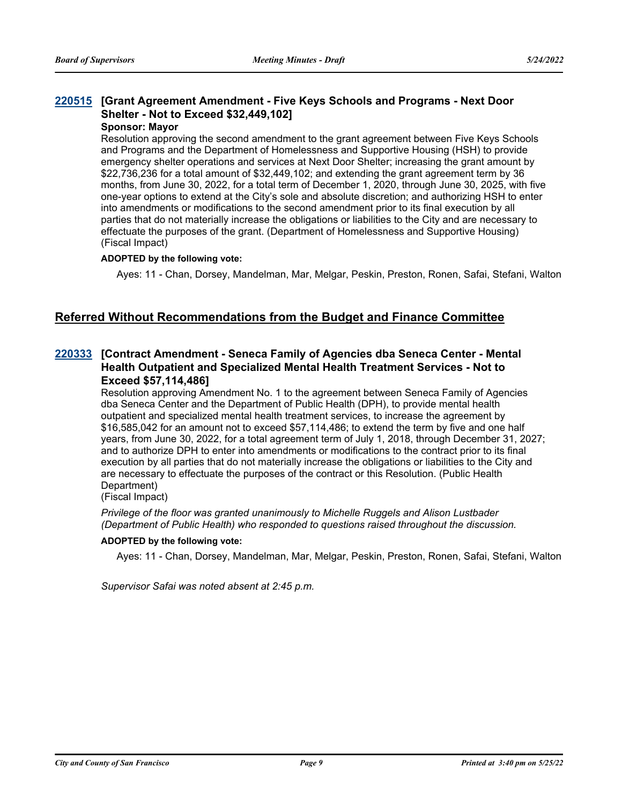### **[Grant Agreement Amendment - Five Keys Schools and Programs - Next Door [220515](http://sfgov.legistar.com/gateway.aspx?m=l&id=38707) Shelter - Not to Exceed \$32,449,102]**

#### **Sponsor: Mayor**

Resolution approving the second amendment to the grant agreement between Five Keys Schools and Programs and the Department of Homelessness and Supportive Housing (HSH) to provide emergency shelter operations and services at Next Door Shelter; increasing the grant amount by \$22,736,236 for a total amount of \$32,449,102; and extending the grant agreement term by 36 months, from June 30, 2022, for a total term of December 1, 2020, through June 30, 2025, with five one-year options to extend at the City's sole and absolute discretion; and authorizing HSH to enter into amendments or modifications to the second amendment prior to its final execution by all parties that do not materially increase the obligations or liabilities to the City and are necessary to effectuate the purposes of the grant. (Department of Homelessness and Supportive Housing) (Fiscal Impact)

#### **ADOPTED by the following vote:**

Ayes: 11 - Chan, Dorsey, Mandelman, Mar, Melgar, Peskin, Preston, Ronen, Safai, Stefani, Walton

#### **Referred Without Recommendations from the Budget and Finance Committee**

#### **[Contract Amendment - Seneca Family of Agencies dba Seneca Center - Mental [220333](http://sfgov.legistar.com/gateway.aspx?m=l&id=38525) Health Outpatient and Specialized Mental Health Treatment Services - Not to Exceed \$57,114,486]**

Resolution approving Amendment No. 1 to the agreement between Seneca Family of Agencies dba Seneca Center and the Department of Public Health (DPH), to provide mental health outpatient and specialized mental health treatment services, to increase the agreement by \$16,585,042 for an amount not to exceed \$57,114,486; to extend the term by five and one half years, from June 30, 2022, for a total agreement term of July 1, 2018, through December 31, 2027; and to authorize DPH to enter into amendments or modifications to the contract prior to its final execution by all parties that do not materially increase the obligations or liabilities to the City and are necessary to effectuate the purposes of the contract or this Resolution. (Public Health Department)

(Fiscal Impact)

*Privilege of the floor was granted unanimously to Michelle Ruggels and Alison Lustbader (Department of Public Health) who responded to questions raised throughout the discussion.*

#### **ADOPTED by the following vote:**

Ayes: 11 - Chan, Dorsey, Mandelman, Mar, Melgar, Peskin, Preston, Ronen, Safai, Stefani, Walton

*Supervisor Safai was noted absent at 2:45 p.m.*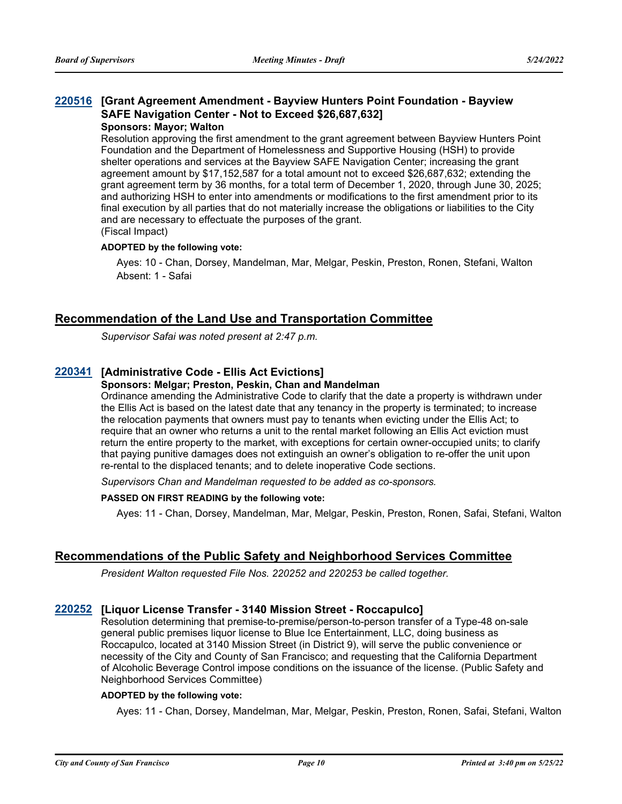#### **[Grant Agreement Amendment - Bayview Hunters Point Foundation - Bayview [220516](http://sfgov.legistar.com/gateway.aspx?m=l&id=38708) SAFE Navigation Center - Not to Exceed \$26,687,632] Sponsors: Mayor; Walton**

Resolution approving the first amendment to the grant agreement between Bayview Hunters Point Foundation and the Department of Homelessness and Supportive Housing (HSH) to provide shelter operations and services at the Bayview SAFE Navigation Center; increasing the grant agreement amount by \$17,152,587 for a total amount not to exceed \$26,687,632; extending the grant agreement term by 36 months, for a total term of December 1, 2020, through June 30, 2025; and authorizing HSH to enter into amendments or modifications to the first amendment prior to its final execution by all parties that do not materially increase the obligations or liabilities to the City and are necessary to effectuate the purposes of the grant. (Fiscal Impact)

#### **ADOPTED by the following vote:**

Ayes: 10 - Chan, Dorsey, Mandelman, Mar, Melgar, Peskin, Preston, Ronen, Stefani, Walton Absent: 1 - Safai

#### **Recommendation of the Land Use and Transportation Committee**

*Supervisor Safai was noted present at 2:47 p.m.*

#### **[220341](http://sfgov.legistar.com/gateway.aspx?m=l&id=38533) [Administrative Code - Ellis Act Evictions]**

#### **Sponsors: Melgar; Preston, Peskin, Chan and Mandelman**

Ordinance amending the Administrative Code to clarify that the date a property is withdrawn under the Ellis Act is based on the latest date that any tenancy in the property is terminated; to increase the relocation payments that owners must pay to tenants when evicting under the Ellis Act; to require that an owner who returns a unit to the rental market following an Ellis Act eviction must return the entire property to the market, with exceptions for certain owner-occupied units; to clarify that paying punitive damages does not extinguish an owner's obligation to re-offer the unit upon re-rental to the displaced tenants; and to delete inoperative Code sections.

*Supervisors Chan and Mandelman requested to be added as co-sponsors.*

#### **PASSED ON FIRST READING by the following vote:**

Ayes: 11 - Chan, Dorsey, Mandelman, Mar, Melgar, Peskin, Preston, Ronen, Safai, Stefani, Walton

#### **Recommendations of the Public Safety and Neighborhood Services Committee**

*President Walton requested File Nos. 220252 and 220253 be called together.*

#### **[220252](http://sfgov.legistar.com/gateway.aspx?m=l&id=38444) [Liquor License Transfer - 3140 Mission Street - Roccapulco]**

Resolution determining that premise-to-premise/person-to-person transfer of a Type-48 on-sale general public premises liquor license to Blue Ice Entertainment, LLC, doing business as Roccapulco, located at 3140 Mission Street (in District 9), will serve the public convenience or necessity of the City and County of San Francisco; and requesting that the California Department of Alcoholic Beverage Control impose conditions on the issuance of the license. (Public Safety and Neighborhood Services Committee)

#### **ADOPTED by the following vote:**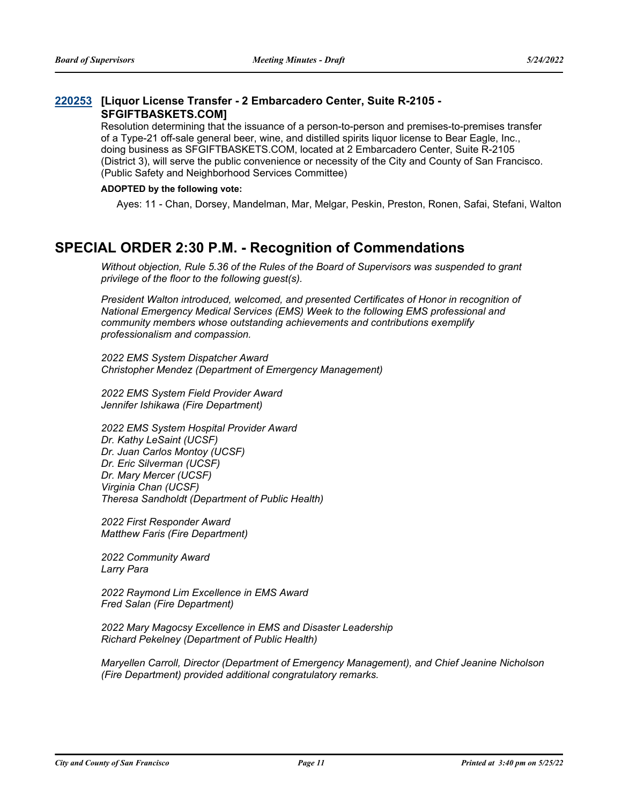#### **[Liquor License Transfer - 2 Embarcadero Center, Suite R-2105 - [220253](http://sfgov.legistar.com/gateway.aspx?m=l&id=38445) SFGIFTBASKETS.COM]**

Resolution determining that the issuance of a person-to-person and premises-to-premises transfer of a Type-21 off-sale general beer, wine, and distilled spirits liquor license to Bear Eagle, Inc., doing business as SFGIFTBASKETS.COM, located at 2 Embarcadero Center, Suite R-2105 (District 3), will serve the public convenience or necessity of the City and County of San Francisco. (Public Safety and Neighborhood Services Committee)

#### **ADOPTED by the following vote:**

Ayes: 11 - Chan, Dorsey, Mandelman, Mar, Melgar, Peskin, Preston, Ronen, Safai, Stefani, Walton

### **SPECIAL ORDER 2:30 P.M. - Recognition of Commendations**

*Without objection, Rule 5.36 of the Rules of the Board of Supervisors was suspended to grant privilege of the floor to the following guest(s).*

*President Walton introduced, welcomed, and presented Certificates of Honor in recognition of National Emergency Medical Services (EMS) Week to the following EMS professional and community members whose outstanding achievements and contributions exemplify professionalism and compassion.* 

*2022 EMS System Dispatcher Award Christopher Mendez (Department of Emergency Management)*

*2022 EMS System Field Provider Award Jennifer Ishikawa (Fire Department)*

*2022 EMS System Hospital Provider Award Dr. Kathy LeSaint (UCSF) Dr. Juan Carlos Montoy (UCSF) Dr. Eric Silverman (UCSF) Dr. Mary Mercer (UCSF) Virginia Chan (UCSF) Theresa Sandholdt (Department of Public Health)*

*2022 First Responder Award Matthew Faris (Fire Department)*

*2022 Community Award Larry Para*

*2022 Raymond Lim Excellence in EMS Award Fred Salan (Fire Department)*

*2022 Mary Magocsy Excellence in EMS and Disaster Leadership Richard Pekelney (Department of Public Health)*

*Maryellen Carroll, Director (Department of Emergency Management), and Chief Jeanine Nicholson (Fire Department) provided additional congratulatory remarks.*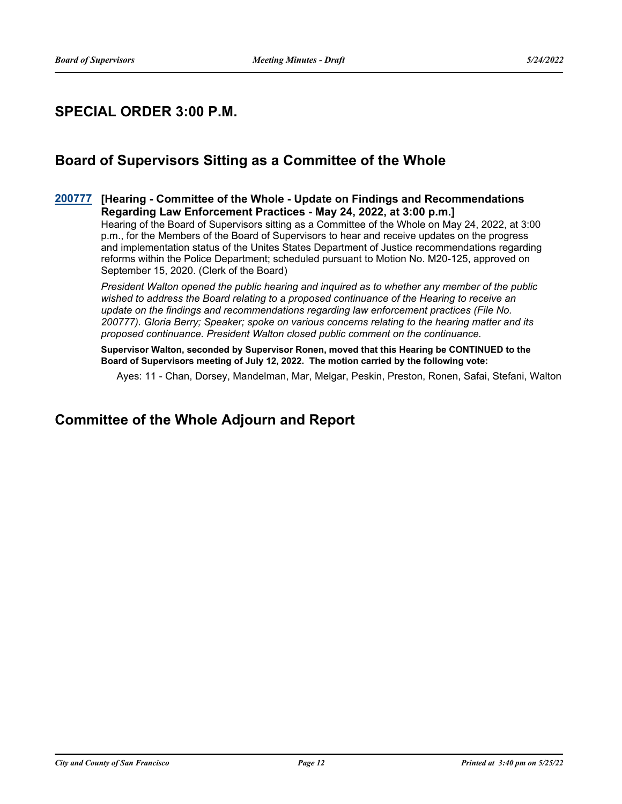### **SPECIAL ORDER 3:00 P.M.**

### **Board of Supervisors Sitting as a Committee of the Whole**

#### **[Hearing - Committee of the Whole - Update on Findings and Recommendations [200777](http://sfgov.legistar.com/gateway.aspx?m=l&id=36213) Regarding Law Enforcement Practices - May 24, 2022, at 3:00 p.m.]**

Hearing of the Board of Supervisors sitting as a Committee of the Whole on May 24, 2022, at 3:00 p.m., for the Members of the Board of Supervisors to hear and receive updates on the progress and implementation status of the Unites States Department of Justice recommendations regarding reforms within the Police Department; scheduled pursuant to Motion No. M20-125, approved on September 15, 2020. (Clerk of the Board)

*President Walton opened the public hearing and inquired as to whether any member of the public wished to address the Board relating to a proposed continuance of the Hearing to receive an update on the findings and recommendations regarding law enforcement practices (File No. 200777). Gloria Berry; Speaker; spoke on various concerns relating to the hearing matter and its proposed continuance. President Walton closed public comment on the continuance.*

**Supervisor Walton, seconded by Supervisor Ronen, moved that this Hearing be CONTINUED to the Board of Supervisors meeting of July 12, 2022. The motion carried by the following vote:**

Ayes: 11 - Chan, Dorsey, Mandelman, Mar, Melgar, Peskin, Preston, Ronen, Safai, Stefani, Walton

### **Committee of the Whole Adjourn and Report**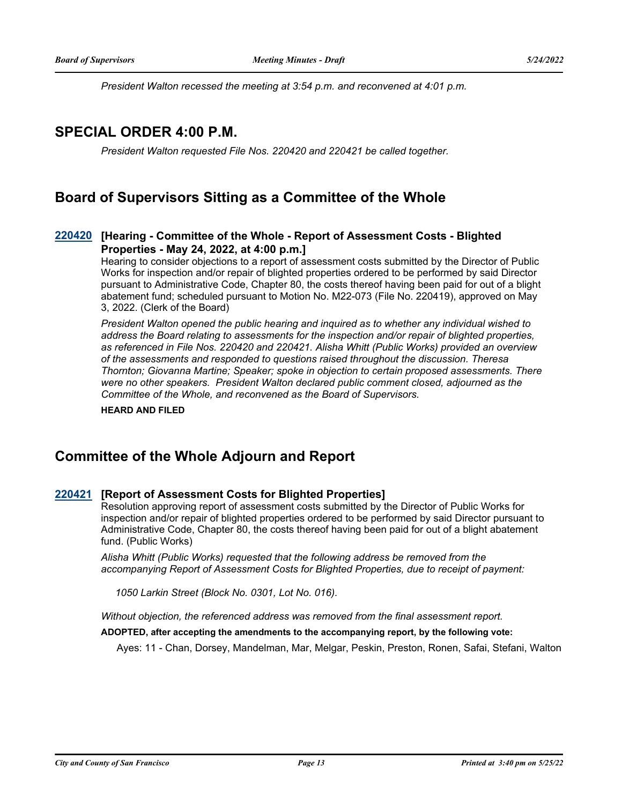*President Walton recessed the meeting at 3:54 p.m. and reconvened at 4:01 p.m.*

### **SPECIAL ORDER 4:00 P.M.**

*President Walton requested File Nos. 220420 and 220421 be called together.*

### **Board of Supervisors Sitting as a Committee of the Whole**

#### **[Hearing - Committee of the Whole - Report of Assessment Costs - Blighted [220420](http://sfgov.legistar.com/gateway.aspx?m=l&id=38612) Properties - May 24, 2022, at 4:00 p.m.]**

Hearing to consider objections to a report of assessment costs submitted by the Director of Public Works for inspection and/or repair of blighted properties ordered to be performed by said Director pursuant to Administrative Code, Chapter 80, the costs thereof having been paid for out of a blight abatement fund; scheduled pursuant to Motion No. M22-073 (File No. 220419), approved on May 3, 2022. (Clerk of the Board)

*President Walton opened the public hearing and inquired as to whether any individual wished to address the Board relating to assessments for the inspection and/or repair of blighted properties, as referenced in File Nos. 220420 and 220421. Alisha Whitt (Public Works) provided an overview of the assessments and responded to questions raised throughout the discussion. Theresa Thornton; Giovanna Martine; Speaker; spoke in objection to certain proposed assessments. There were no other speakers. President Walton declared public comment closed, adjourned as the Committee of the Whole, and reconvened as the Board of Supervisors.*

**HEARD AND FILED**

### **Committee of the Whole Adjourn and Report**

#### **[220421](http://sfgov.legistar.com/gateway.aspx?m=l&id=38613) [Report of Assessment Costs for Blighted Properties]**

Resolution approving report of assessment costs submitted by the Director of Public Works for inspection and/or repair of blighted properties ordered to be performed by said Director pursuant to Administrative Code, Chapter 80, the costs thereof having been paid for out of a blight abatement fund. (Public Works)

*Alisha Whitt (Public Works) requested that the following address be removed from the accompanying Report of Assessment Costs for Blighted Properties, due to receipt of payment:*

 *1050 Larkin Street (Block No. 0301, Lot No. 016).*

*Without objection, the referenced address was removed from the final assessment report.*

#### **ADOPTED, after accepting the amendments to the accompanying report, by the following vote:**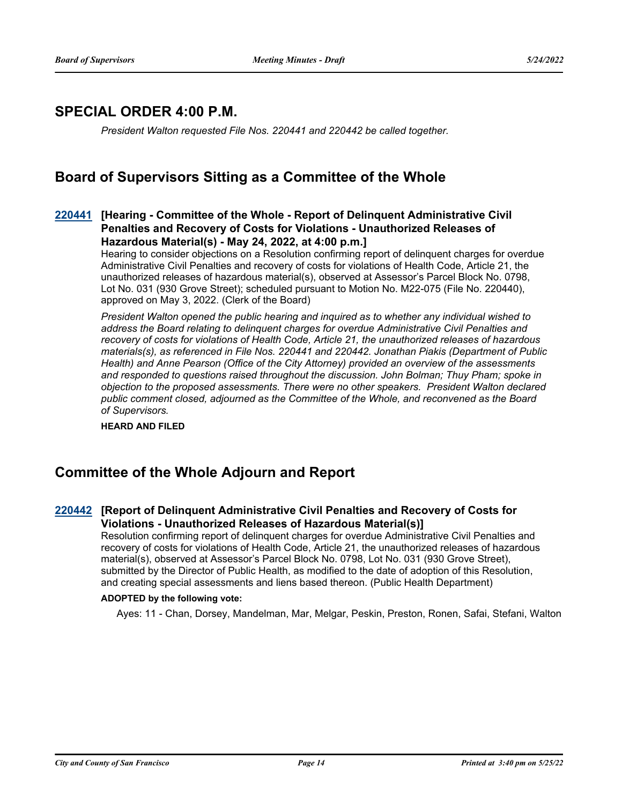### **SPECIAL ORDER 4:00 P.M.**

*President Walton requested File Nos. 220441 and 220442 be called together.*

### **Board of Supervisors Sitting as a Committee of the Whole**

#### **[Hearing - Committee of the Whole - Report of Delinquent Administrative Civil [220441](http://sfgov.legistar.com/gateway.aspx?m=l&id=38633) Penalties and Recovery of Costs for Violations - Unauthorized Releases of Hazardous Material(s) - May 24, 2022, at 4:00 p.m.]**

Hearing to consider objections on a Resolution confirming report of delinquent charges for overdue Administrative Civil Penalties and recovery of costs for violations of Health Code, Article 21, the unauthorized releases of hazardous material(s), observed at Assessor's Parcel Block No. 0798, Lot No. 031 (930 Grove Street); scheduled pursuant to Motion No. M22-075 (File No. 220440), approved on May 3, 2022. (Clerk of the Board)

*President Walton opened the public hearing and inquired as to whether any individual wished to address the Board relating to delinquent charges for overdue Administrative Civil Penalties and recovery of costs for violations of Health Code, Article 21, the unauthorized releases of hazardous materials(s), as referenced in File Nos. 220441 and 220442. Jonathan Piakis (Department of Public Health) and Anne Pearson (Office of the City Attorney) provided an overview of the assessments and responded to questions raised throughout the discussion. John Bolman; Thuy Pham; spoke in objection to the proposed assessments. There were no other speakers. President Walton declared public comment closed, adjourned as the Committee of the Whole, and reconvened as the Board of Supervisors.*

**HEARD AND FILED**

### **Committee of the Whole Adjourn and Report**

#### **[Report of Delinquent Administrative Civil Penalties and Recovery of Costs for [220442](http://sfgov.legistar.com/gateway.aspx?m=l&id=38634) Violations - Unauthorized Releases of Hazardous Material(s)]**

Resolution confirming report of delinquent charges for overdue Administrative Civil Penalties and recovery of costs for violations of Health Code, Article 21, the unauthorized releases of hazardous material(s), observed at Assessor's Parcel Block No. 0798, Lot No. 031 (930 Grove Street), submitted by the Director of Public Health, as modified to the date of adoption of this Resolution, and creating special assessments and liens based thereon. (Public Health Department)

#### **ADOPTED by the following vote:**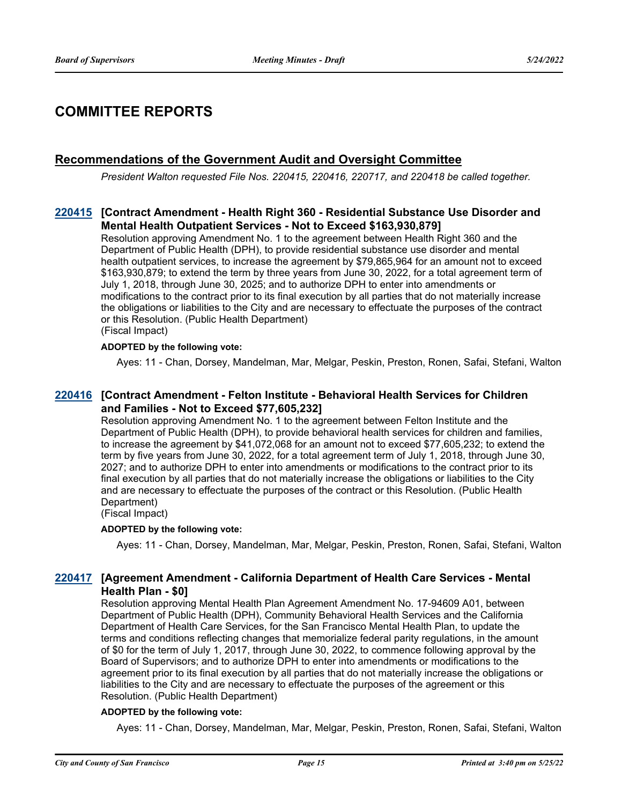### **COMMITTEE REPORTS**

#### **Recommendations of the Government Audit and Oversight Committee**

*President Walton requested File Nos. 220415, 220416, 220717, and 220418 be called together.*

#### **[Contract Amendment - Health Right 360 - Residential Substance Use Disorder and [220415](http://sfgov.legistar.com/gateway.aspx?m=l&id=38607) Mental Health Outpatient Services - Not to Exceed \$163,930,879]**

Resolution approving Amendment No. 1 to the agreement between Health Right 360 and the Department of Public Health (DPH), to provide residential substance use disorder and mental health outpatient services, to increase the agreement by \$79,865,964 for an amount not to exceed \$163,930,879; to extend the term by three years from June 30, 2022, for a total agreement term of July 1, 2018, through June 30, 2025; and to authorize DPH to enter into amendments or modifications to the contract prior to its final execution by all parties that do not materially increase the obligations or liabilities to the City and are necessary to effectuate the purposes of the contract or this Resolution. (Public Health Department) (Fiscal Impact)

#### **ADOPTED by the following vote:**

Ayes: 11 - Chan, Dorsey, Mandelman, Mar, Melgar, Peskin, Preston, Ronen, Safai, Stefani, Walton

#### **[Contract Amendment - Felton Institute - Behavioral Health Services for Children [220416](http://sfgov.legistar.com/gateway.aspx?m=l&id=38608) and Families - Not to Exceed \$77,605,232]**

Resolution approving Amendment No. 1 to the agreement between Felton Institute and the Department of Public Health (DPH), to provide behavioral health services for children and families, to increase the agreement by \$41,072,068 for an amount not to exceed \$77,605,232; to extend the term by five years from June 30, 2022, for a total agreement term of July 1, 2018, through June 30, 2027; and to authorize DPH to enter into amendments or modifications to the contract prior to its final execution by all parties that do not materially increase the obligations or liabilities to the City and are necessary to effectuate the purposes of the contract or this Resolution. (Public Health Department)

(Fiscal Impact)

#### **ADOPTED by the following vote:**

Ayes: 11 - Chan, Dorsey, Mandelman, Mar, Melgar, Peskin, Preston, Ronen, Safai, Stefani, Walton

#### **[Agreement Amendment - California Department of Health Care Services - Mental [220417](http://sfgov.legistar.com/gateway.aspx?m=l&id=38609) Health Plan - \$0]**

Resolution approving Mental Health Plan Agreement Amendment No. 17-94609 A01, between Department of Public Health (DPH), Community Behavioral Health Services and the California Department of Health Care Services, for the San Francisco Mental Health Plan, to update the terms and conditions reflecting changes that memorialize federal parity regulations, in the amount of \$0 for the term of July 1, 2017, through June 30, 2022, to commence following approval by the Board of Supervisors; and to authorize DPH to enter into amendments or modifications to the agreement prior to its final execution by all parties that do not materially increase the obligations or liabilities to the City and are necessary to effectuate the purposes of the agreement or this Resolution. (Public Health Department)

#### **ADOPTED by the following vote:**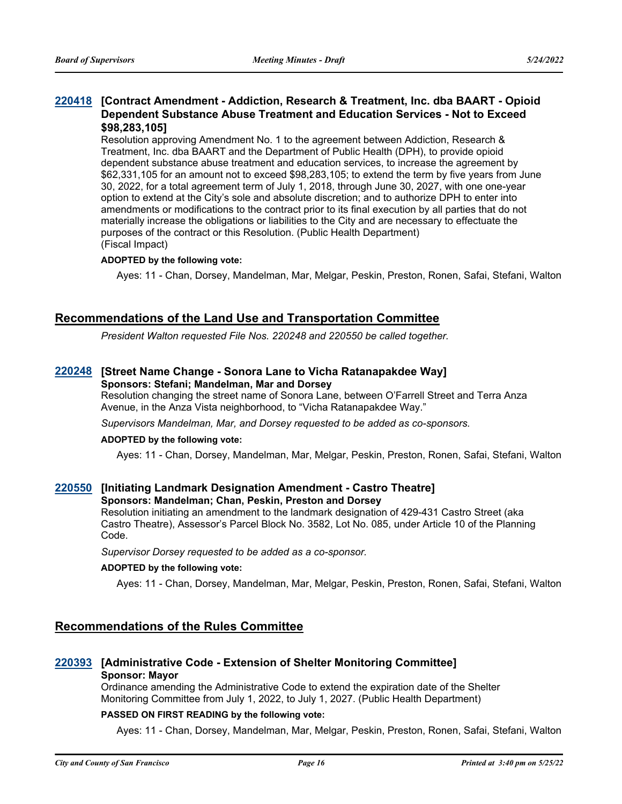#### **[Contract Amendment - Addiction, Research & Treatment, Inc. dba BAART - Opioid [220418](http://sfgov.legistar.com/gateway.aspx?m=l&id=38610) Dependent Substance Abuse Treatment and Education Services - Not to Exceed \$98,283,105]**

Resolution approving Amendment No. 1 to the agreement between Addiction, Research & Treatment, Inc. dba BAART and the Department of Public Health (DPH), to provide opioid dependent substance abuse treatment and education services, to increase the agreement by \$62,331,105 for an amount not to exceed \$98,283,105; to extend the term by five years from June 30, 2022, for a total agreement term of July 1, 2018, through June 30, 2027, with one one-year option to extend at the City's sole and absolute discretion; and to authorize DPH to enter into amendments or modifications to the contract prior to its final execution by all parties that do not materially increase the obligations or liabilities to the City and are necessary to effectuate the purposes of the contract or this Resolution. (Public Health Department) (Fiscal Impact)

#### **ADOPTED by the following vote:**

Ayes: 11 - Chan, Dorsey, Mandelman, Mar, Melgar, Peskin, Preston, Ronen, Safai, Stefani, Walton

#### **Recommendations of the Land Use and Transportation Committee**

*President Walton requested File Nos. 220248 and 220550 be called together.*

#### **[220248](http://sfgov.legistar.com/gateway.aspx?m=l&id=38440) [Street Name Change - Sonora Lane to Vicha Ratanapakdee Way] Sponsors: Stefani; Mandelman, Mar and Dorsey**

Resolution changing the street name of Sonora Lane, between O'Farrell Street and Terra Anza Avenue, in the Anza Vista neighborhood, to "Vicha Ratanapakdee Way."

*Supervisors Mandelman, Mar, and Dorsey requested to be added as co-sponsors.*

#### **ADOPTED by the following vote:**

Ayes: 11 - Chan, Dorsey, Mandelman, Mar, Melgar, Peskin, Preston, Ronen, Safai, Stefani, Walton

#### **[220550](http://sfgov.legistar.com/gateway.aspx?m=l&id=38742) [Initiating Landmark Designation Amendment - Castro Theatre]**

#### **Sponsors: Mandelman; Chan, Peskin, Preston and Dorsey**

Resolution initiating an amendment to the landmark designation of 429-431 Castro Street (aka Castro Theatre), Assessor's Parcel Block No. 3582, Lot No. 085, under Article 10 of the Planning Code.

*Supervisor Dorsey requested to be added as a co-sponsor.*

#### **ADOPTED by the following vote:**

Ayes: 11 - Chan, Dorsey, Mandelman, Mar, Melgar, Peskin, Preston, Ronen, Safai, Stefani, Walton

#### **Recommendations of the Rules Committee**

#### **[220393](http://sfgov.legistar.com/gateway.aspx?m=l&id=38585) [Administrative Code - Extension of Shelter Monitoring Committee] Sponsor: Mayor**

Ordinance amending the Administrative Code to extend the expiration date of the Shelter Monitoring Committee from July 1, 2022, to July 1, 2027. (Public Health Department)

#### **PASSED ON FIRST READING by the following vote:**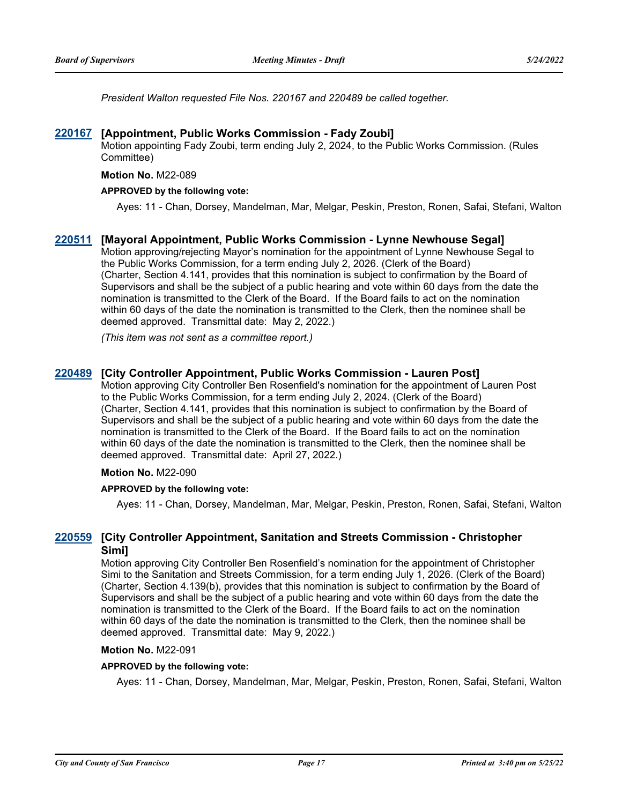*President Walton requested File Nos. 220167 and 220489 be called together.*

#### **[220167](http://sfgov.legistar.com/gateway.aspx?m=l&id=38362) [Appointment, Public Works Commission - Fady Zoubi]**

Motion appointing Fady Zoubi, term ending July 2, 2024, to the Public Works Commission. (Rules Committee)

#### **Motion No.** M22-089

#### **APPROVED by the following vote:**

Ayes: 11 - Chan, Dorsey, Mandelman, Mar, Melgar, Peskin, Preston, Ronen, Safai, Stefani, Walton

#### **[220511](http://sfgov.legistar.com/gateway.aspx?m=l&id=38703) [Mayoral Appointment, Public Works Commission - Lynne Newhouse Segal]**

Motion approving/rejecting Mayor's nomination for the appointment of Lynne Newhouse Segal to the Public Works Commission, for a term ending July 2, 2026. (Clerk of the Board) (Charter, Section 4.141, provides that this nomination is subject to confirmation by the Board of Supervisors and shall be the subject of a public hearing and vote within 60 days from the date the nomination is transmitted to the Clerk of the Board. If the Board fails to act on the nomination within 60 days of the date the nomination is transmitted to the Clerk, then the nominee shall be deemed approved. Transmittal date: May 2, 2022.)

*(This item was not sent as a committee report.)*

#### **[220489](http://sfgov.legistar.com/gateway.aspx?m=l&id=38681) [City Controller Appointment, Public Works Commission - Lauren Post]**

Motion approving City Controller Ben Rosenfield's nomination for the appointment of Lauren Post to the Public Works Commission, for a term ending July 2, 2024. (Clerk of the Board) (Charter, Section 4.141, provides that this nomination is subject to confirmation by the Board of Supervisors and shall be the subject of a public hearing and vote within 60 days from the date the nomination is transmitted to the Clerk of the Board. If the Board fails to act on the nomination within 60 days of the date the nomination is transmitted to the Clerk, then the nominee shall be deemed approved. Transmittal date: April 27, 2022.)

#### **Motion No.** M22-090

#### **APPROVED by the following vote:**

Ayes: 11 - Chan, Dorsey, Mandelman, Mar, Melgar, Peskin, Preston, Ronen, Safai, Stefani, Walton

#### **[City Controller Appointment, Sanitation and Streets Commission - Christopher [220559](http://sfgov.legistar.com/gateway.aspx?m=l&id=38751) Simi]**

Motion approving City Controller Ben Rosenfield's nomination for the appointment of Christopher Simi to the Sanitation and Streets Commission, for a term ending July 1, 2026. (Clerk of the Board) (Charter, Section 4.139(b), provides that this nomination is subject to confirmation by the Board of Supervisors and shall be the subject of a public hearing and vote within 60 days from the date the nomination is transmitted to the Clerk of the Board. If the Board fails to act on the nomination within 60 days of the date the nomination is transmitted to the Clerk, then the nominee shall be deemed approved. Transmittal date: May 9, 2022.)

#### **Motion No.** M22-091

#### **APPROVED by the following vote:**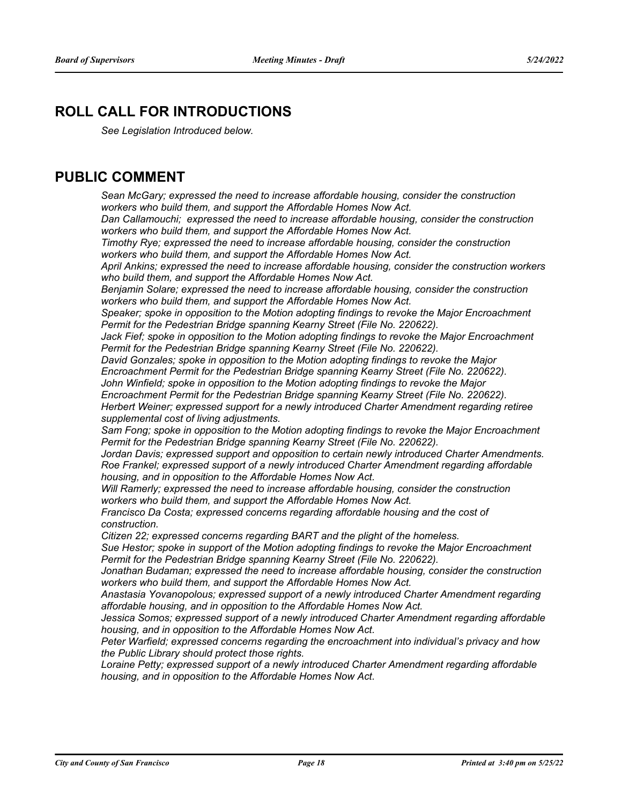### **ROLL CALL FOR INTRODUCTIONS**

*See Legislation Introduced below.*

### **PUBLIC COMMENT**

*Sean McGary; expressed the need to increase affordable housing, consider the construction workers who build them, and support the Affordable Homes Now Act.*

*Dan Callamouchi; expressed the need to increase affordable housing, consider the construction workers who build them, and support the Affordable Homes Now Act.*

*Timothy Rye; expressed the need to increase affordable housing, consider the construction workers who build them, and support the Affordable Homes Now Act.*

*April Ankins; expressed the need to increase affordable housing, consider the construction workers who build them, and support the Affordable Homes Now Act.*

*Benjamin Solare; expressed the need to increase affordable housing, consider the construction workers who build them, and support the Affordable Homes Now Act.*

*Speaker; spoke in opposition to the Motion adopting findings to revoke the Major Encroachment Permit for the Pedestrian Bridge spanning Kearny Street (File No. 220622).*

Jack Fief; spoke in opposition to the Motion adopting findings to revoke the Major Encroachment *Permit for the Pedestrian Bridge spanning Kearny Street (File No. 220622).*

*David Gonzales; spoke in opposition to the Motion adopting findings to revoke the Major Encroachment Permit for the Pedestrian Bridge spanning Kearny Street (File No. 220622).*

*John Winfield; spoke in opposition to the Motion adopting findings to revoke the Major* 

*Encroachment Permit for the Pedestrian Bridge spanning Kearny Street (File No. 220622). Herbert Weiner; expressed support for a newly introduced Charter Amendment regarding retiree supplemental cost of living adjustments.*

*Sam Fong; spoke in opposition to the Motion adopting findings to revoke the Major Encroachment Permit for the Pedestrian Bridge spanning Kearny Street (File No. 220622).*

*Jordan Davis; expressed support and opposition to certain newly introduced Charter Amendments. Roe Frankel; expressed support of a newly introduced Charter Amendment regarding affordable housing, and in opposition to the Affordable Homes Now Act.*

*Will Ramerly; expressed the need to increase affordable housing, consider the construction workers who build them, and support the Affordable Homes Now Act.*

*Francisco Da Costa; expressed concerns regarding affordable housing and the cost of construction.*

*Citizen 22; expressed concerns regarding BART and the plight of the homeless.*

*Sue Hestor; spoke in support of the Motion adopting findings to revoke the Major Encroachment Permit for the Pedestrian Bridge spanning Kearny Street (File No. 220622).*

*Jonathan Budaman; expressed the need to increase affordable housing, consider the construction workers who build them, and support the Affordable Homes Now Act.*

*Anastasia Yovanopolous; expressed support of a newly introduced Charter Amendment regarding affordable housing, and in opposition to the Affordable Homes Now Act.*

*Jessica Somos; expressed support of a newly introduced Charter Amendment regarding affordable housing, and in opposition to the Affordable Homes Now Act.*

*Peter Warfield; expressed concerns regarding the encroachment into individual's privacy and how the Public Library should protect those rights.* 

*Loraine Petty; expressed support of a newly introduced Charter Amendment regarding affordable housing, and in opposition to the Affordable Homes Now Act.*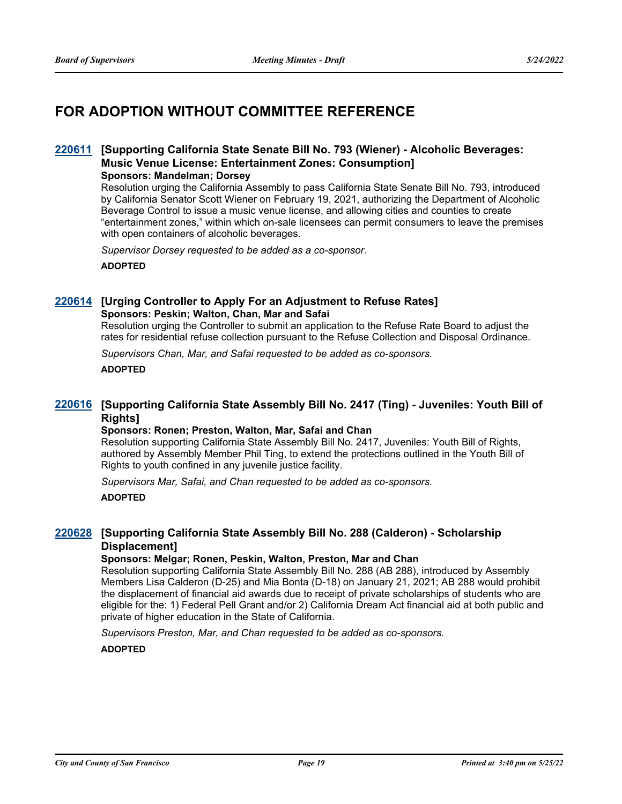## **FOR ADOPTION WITHOUT COMMITTEE REFERENCE**

#### **[Supporting California State Senate Bill No. 793 (Wiener) - Alcoholic Beverages: [220611](http://sfgov.legistar.com/gateway.aspx?m=l&id=38803) Music Venue License: Entertainment Zones: Consumption]**

#### **Sponsors: Mandelman; Dorsey**

Resolution urging the California Assembly to pass California State Senate Bill No. 793, introduced by California Senator Scott Wiener on February 19, 2021, authorizing the Department of Alcoholic Beverage Control to issue a music venue license, and allowing cities and counties to create "entertainment zones," within which on-sale licensees can permit consumers to leave the premises with open containers of alcoholic beverages.

*Supervisor Dorsey requested to be added as a co-sponsor.*

**ADOPTED**

#### **[220614](http://sfgov.legistar.com/gateway.aspx?m=l&id=38806) [Urging Controller to Apply For an Adjustment to Refuse Rates] Sponsors: Peskin; Walton, Chan, Mar and Safai**

Resolution urging the Controller to submit an application to the Refuse Rate Board to adjust the rates for residential refuse collection pursuant to the Refuse Collection and Disposal Ordinance.

*Supervisors Chan, Mar, and Safai requested to be added as co-sponsors.*

**ADOPTED**

#### **[Supporting California State Assembly Bill No. 2417 (Ting) - Juveniles: Youth Bill of [220616](http://sfgov.legistar.com/gateway.aspx?m=l&id=38808) Rights]**

#### **Sponsors: Ronen; Preston, Walton, Mar, Safai and Chan**

Resolution supporting California State Assembly Bill No. 2417, Juveniles: Youth Bill of Rights, authored by Assembly Member Phil Ting, to extend the protections outlined in the Youth Bill of Rights to youth confined in any juvenile justice facility.

*Supervisors Mar, Safai, and Chan requested to be added as co-sponsors.*

**ADOPTED**

#### **[Supporting California State Assembly Bill No. 288 (Calderon) - Scholarship [220628](http://sfgov.legistar.com/gateway.aspx?m=l&id=38820) Displacement]**

#### **Sponsors: Melgar; Ronen, Peskin, Walton, Preston, Mar and Chan**

Resolution supporting California State Assembly Bill No. 288 (AB 288), introduced by Assembly Members Lisa Calderon (D-25) and Mia Bonta (D-18) on January 21, 2021; AB 288 would prohibit the displacement of financial aid awards due to receipt of private scholarships of students who are eligible for the: 1) Federal Pell Grant and/or 2) California Dream Act financial aid at both public and private of higher education in the State of California.

*Supervisors Preston, Mar, and Chan requested to be added as co-sponsors.*

**ADOPTED**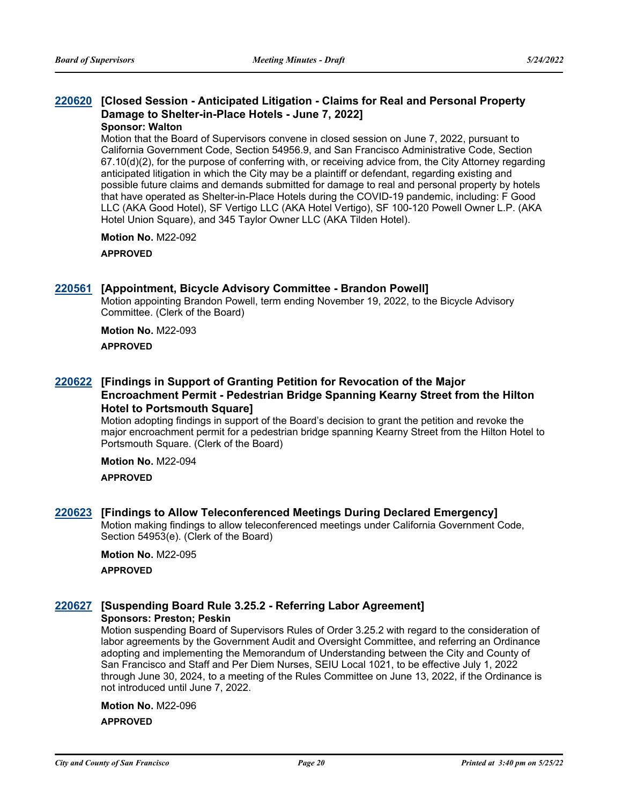#### **[Closed Session - Anticipated Litigation - Claims for Real and Personal Property [220620](http://sfgov.legistar.com/gateway.aspx?m=l&id=38812) Damage to Shelter-in-Place Hotels - June 7, 2022] Sponsor: Walton**

Motion that the Board of Supervisors convene in closed session on June 7, 2022, pursuant to California Government Code, Section 54956.9, and San Francisco Administrative Code, Section 67.10(d)(2), for the purpose of conferring with, or receiving advice from, the City Attorney regarding anticipated litigation in which the City may be a plaintiff or defendant, regarding existing and possible future claims and demands submitted for damage to real and personal property by hotels that have operated as Shelter-in-Place Hotels during the COVID-19 pandemic, including: F Good LLC (AKA Good Hotel), SF Vertigo LLC (AKA Hotel Vertigo), SF 100-120 Powell Owner L.P. (AKA Hotel Union Square), and 345 Taylor Owner LLC (AKA Tilden Hotel).

**Motion No.** M22-092

#### **APPROVED**

#### **[220561](http://sfgov.legistar.com/gateway.aspx?m=l&id=38753) [Appointment, Bicycle Advisory Committee - Brandon Powell]**

Motion appointing Brandon Powell, term ending November 19, 2022, to the Bicycle Advisory Committee. (Clerk of the Board)

#### **Motion No.** M22-093 **APPROVED**

#### **[Findings in Support of Granting Petition for Revocation of the Major [220622](http://sfgov.legistar.com/gateway.aspx?m=l&id=38814) Encroachment Permit - Pedestrian Bridge Spanning Kearny Street from the Hilton Hotel to Portsmouth Square]**

Motion adopting findings in support of the Board's decision to grant the petition and revoke the major encroachment permit for a pedestrian bridge spanning Kearny Street from the Hilton Hotel to Portsmouth Square. (Clerk of the Board)

#### **Motion No.** M22-094

**APPROVED**

#### **[220623](http://sfgov.legistar.com/gateway.aspx?m=l&id=38815) [Findings to Allow Teleconferenced Meetings During Declared Emergency]**

Motion making findings to allow teleconferenced meetings under California Government Code, Section 54953(e). (Clerk of the Board)

#### **Motion No.** M22-095

**APPROVED**

### **[220627](http://sfgov.legistar.com/gateway.aspx?m=l&id=38819) [Suspending Board Rule 3.25.2 - Referring Labor Agreement]**

**Sponsors: Preston; Peskin**

Motion suspending Board of Supervisors Rules of Order 3.25.2 with regard to the consideration of labor agreements by the Government Audit and Oversight Committee, and referring an Ordinance adopting and implementing the Memorandum of Understanding between the City and County of San Francisco and Staff and Per Diem Nurses, SEIU Local 1021, to be effective July 1, 2022 through June 30, 2024, to a meeting of the Rules Committee on June 13, 2022, if the Ordinance is not introduced until June 7, 2022.

#### **Motion No.** M22-096 **APPROVED**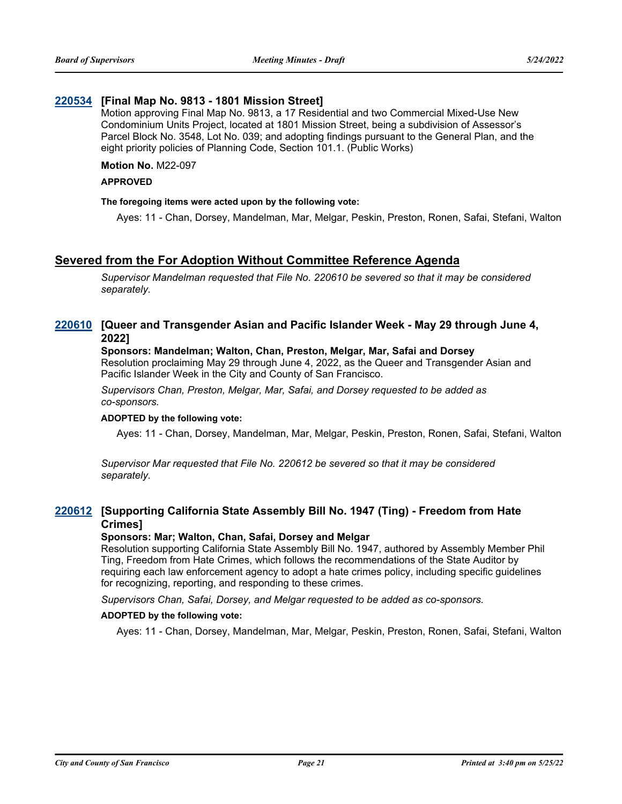#### **[220534](http://sfgov.legistar.com/gateway.aspx?m=l&id=38726) [Final Map No. 9813 - 1801 Mission Street]**

Motion approving Final Map No. 9813, a 17 Residential and two Commercial Mixed-Use New Condominium Units Project, located at 1801 Mission Street, being a subdivision of Assessor's Parcel Block No. 3548, Lot No. 039; and adopting findings pursuant to the General Plan, and the eight priority policies of Planning Code, Section 101.1. (Public Works)

#### **Motion No.** M22-097

#### **APPROVED**

#### **The foregoing items were acted upon by the following vote:**

Ayes: 11 - Chan, Dorsey, Mandelman, Mar, Melgar, Peskin, Preston, Ronen, Safai, Stefani, Walton

#### **Severed from the For Adoption Without Committee Reference Agenda**

*Supervisor Mandelman requested that File No. 220610 be severed so that it may be considered separately.*

#### **[Queer and Transgender Asian and Pacific Islander Week - May 29 through June 4, [220610](http://sfgov.legistar.com/gateway.aspx?m=l&id=38802) 2022]**

#### **Sponsors: Mandelman; Walton, Chan, Preston, Melgar, Mar, Safai and Dorsey**

Resolution proclaiming May 29 through June 4, 2022, as the Queer and Transgender Asian and Pacific Islander Week in the City and County of San Francisco.

*Supervisors Chan, Preston, Melgar, Mar, Safai, and Dorsey requested to be added as co-sponsors.*

#### **ADOPTED by the following vote:**

Ayes: 11 - Chan, Dorsey, Mandelman, Mar, Melgar, Peskin, Preston, Ronen, Safai, Stefani, Walton

*Supervisor Mar requested that File No. 220612 be severed so that it may be considered separately.*

#### **[Supporting California State Assembly Bill No. 1947 (Ting) - Freedom from Hate [220612](http://sfgov.legistar.com/gateway.aspx?m=l&id=38804) Crimes]**

#### **Sponsors: Mar; Walton, Chan, Safai, Dorsey and Melgar**

Resolution supporting California State Assembly Bill No. 1947, authored by Assembly Member Phil Ting, Freedom from Hate Crimes, which follows the recommendations of the State Auditor by requiring each law enforcement agency to adopt a hate crimes policy, including specific guidelines for recognizing, reporting, and responding to these crimes.

*Supervisors Chan, Safai, Dorsey, and Melgar requested to be added as co-sponsors.*

#### **ADOPTED by the following vote:**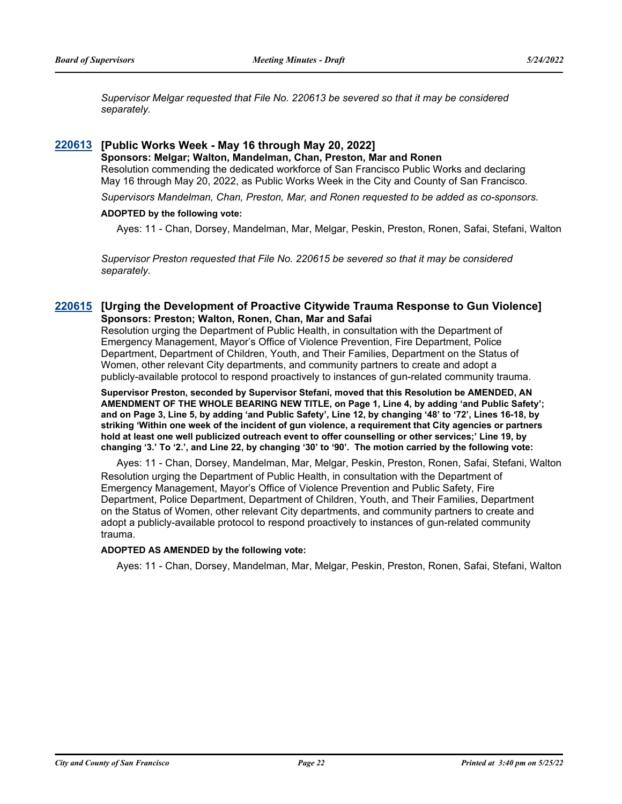*Supervisor Melgar requested that File No. 220613 be severed so that it may be considered separately.*

#### **[220613](http://sfgov.legistar.com/gateway.aspx?m=l&id=38805) [Public Works Week - May 16 through May 20, 2022]**

**Sponsors: Melgar; Walton, Mandelman, Chan, Preston, Mar and Ronen** Resolution commending the dedicated workforce of San Francisco Public Works and declaring May 16 through May 20, 2022, as Public Works Week in the City and County of San Francisco.

*Supervisors Mandelman, Chan, Preston, Mar, and Ronen requested to be added as co-sponsors.*

#### **ADOPTED by the following vote:**

Ayes: 11 - Chan, Dorsey, Mandelman, Mar, Melgar, Peskin, Preston, Ronen, Safai, Stefani, Walton

*Supervisor Preston requested that File No. 220615 be severed so that it may be considered separately.*

#### **[220615](http://sfgov.legistar.com/gateway.aspx?m=l&id=38807) [Urging the Development of Proactive Citywide Trauma Response to Gun Violence] Sponsors: Preston; Walton, Ronen, Chan, Mar and Safai**

Resolution urging the Department of Public Health, in consultation with the Department of Emergency Management, Mayor's Office of Violence Prevention, Fire Department, Police Department, Department of Children, Youth, and Their Families, Department on the Status of Women, other relevant City departments, and community partners to create and adopt a publicly-available protocol to respond proactively to instances of gun-related community trauma.

**Supervisor Preston, seconded by Supervisor Stefani, moved that this Resolution be AMENDED, AN AMENDMENT OF THE WHOLE BEARING NEW TITLE, on Page 1, Line 4, by adding 'and Public Safety'; and on Page 3, Line 5, by adding 'and Public Safety', Line 12, by changing '48' to '72', Lines 16-18, by striking 'Within one week of the incident of gun violence, a requirement that City agencies or partners hold at least one well publicized outreach event to offer counselling or other services;' Line 19, by changing '3.' To '2.', and Line 22, by changing '30' to '90'. The motion carried by the following vote:**

Ayes: 11 - Chan, Dorsey, Mandelman, Mar, Melgar, Peskin, Preston, Ronen, Safai, Stefani, Walton Resolution urging the Department of Public Health, in consultation with the Department of Emergency Management, Mayor's Office of Violence Prevention and Public Safety, Fire Department, Police Department, Department of Children, Youth, and Their Families, Department on the Status of Women, other relevant City departments, and community partners to create and adopt a publicly-available protocol to respond proactively to instances of gun-related community trauma.

#### **ADOPTED AS AMENDED by the following vote:**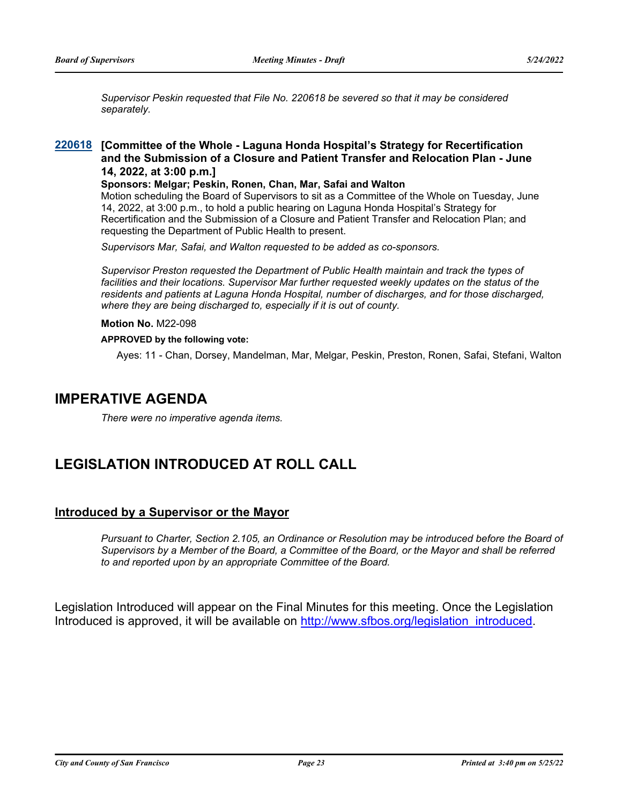*Supervisor Peskin requested that File No. 220618 be severed so that it may be considered separately.*

#### **[Committee of the Whole - Laguna Honda Hospital's Strategy for Recertification [220618](http://sfgov.legistar.com/gateway.aspx?m=l&id=38810) and the Submission of a Closure and Patient Transfer and Relocation Plan - June 14, 2022, at 3:00 p.m.]**

**Sponsors: Melgar; Peskin, Ronen, Chan, Mar, Safai and Walton**

Motion scheduling the Board of Supervisors to sit as a Committee of the Whole on Tuesday, June 14, 2022, at 3:00 p.m., to hold a public hearing on Laguna Honda Hospital's Strategy for Recertification and the Submission of a Closure and Patient Transfer and Relocation Plan; and requesting the Department of Public Health to present.

*Supervisors Mar, Safai, and Walton requested to be added as co-sponsors.*

*Supervisor Preston requested the Department of Public Health maintain and track the types of*  facilities and their locations. Supervisor Mar further requested weekly updates on the status of the *residents and patients at Laguna Honda Hospital, number of discharges, and for those discharged, where they are being discharged to, especially if it is out of county.*

#### **Motion No.** M22-098

#### **APPROVED by the following vote:**

Ayes: 11 - Chan, Dorsey, Mandelman, Mar, Melgar, Peskin, Preston, Ronen, Safai, Stefani, Walton

### **IMPERATIVE AGENDA**

*There were no imperative agenda items.*

### **LEGISLATION INTRODUCED AT ROLL CALL**

#### **Introduced by a Supervisor or the Mayor**

*Pursuant to Charter, Section 2.105, an Ordinance or Resolution may be introduced before the Board of Supervisors by a Member of the Board, a Committee of the Board, or the Mayor and shall be referred to and reported upon by an appropriate Committee of the Board.*

Legislation Introduced will appear on the Final Minutes for this meeting. Once the Legislation Introduced is approved, it will be available on [http://www.sfbos.org/legislation\\_introduced.](http://www.sfbos.org/legislation_introduced)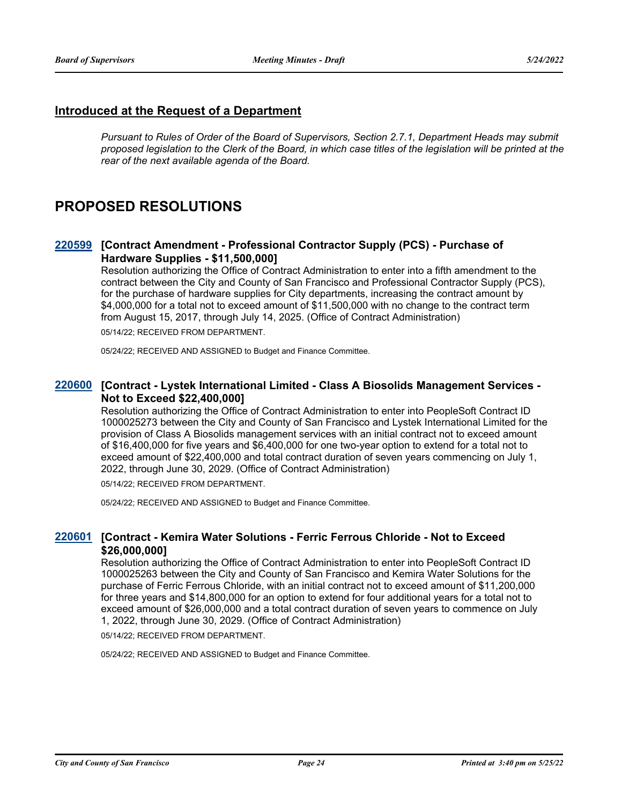#### **Introduced at the Request of a Department**

*Pursuant to Rules of Order of the Board of Supervisors, Section 2.7.1, Department Heads may submit proposed legislation to the Clerk of the Board, in which case titles of the legislation will be printed at the rear of the next available agenda of the Board.*

### **PROPOSED RESOLUTIONS**

#### **[Contract Amendment - Professional Contractor Supply (PCS) - Purchase of [220599](http://sfgov.legistar.com/gateway.aspx?m=l&id=38791) Hardware Supplies - \$11,500,000]**

Resolution authorizing the Office of Contract Administration to enter into a fifth amendment to the contract between the City and County of San Francisco and Professional Contractor Supply (PCS), for the purchase of hardware supplies for City departments, increasing the contract amount by \$4,000,000 for a total not to exceed amount of \$11,500,000 with no change to the contract term from August 15, 2017, through July 14, 2025. (Office of Contract Administration)

05/14/22; RECEIVED FROM DEPARTMENT.

05/24/22; RECEIVED AND ASSIGNED to Budget and Finance Committee.

#### **[Contract - Lystek International Limited - Class A Biosolids Management Services - [220600](http://sfgov.legistar.com/gateway.aspx?m=l&id=38792) Not to Exceed \$22,400,000]**

Resolution authorizing the Office of Contract Administration to enter into PeopleSoft Contract ID 1000025273 between the City and County of San Francisco and Lystek International Limited for the provision of Class A Biosolids management services with an initial contract not to exceed amount of \$16,400,000 for five years and \$6,400,000 for one two-year option to extend for a total not to exceed amount of \$22,400,000 and total contract duration of seven years commencing on July 1, 2022, through June 30, 2029. (Office of Contract Administration)

05/14/22; RECEIVED FROM DEPARTMENT.

05/24/22; RECEIVED AND ASSIGNED to Budget and Finance Committee.

#### **[Contract - Kemira Water Solutions - Ferric Ferrous Chloride - Not to Exceed [220601](http://sfgov.legistar.com/gateway.aspx?m=l&id=38793) \$26,000,000]**

Resolution authorizing the Office of Contract Administration to enter into PeopleSoft Contract ID 1000025263 between the City and County of San Francisco and Kemira Water Solutions for the purchase of Ferric Ferrous Chloride, with an initial contract not to exceed amount of \$11,200,000 for three years and \$14,800,000 for an option to extend for four additional years for a total not to exceed amount of \$26,000,000 and a total contract duration of seven years to commence on July 1, 2022, through June 30, 2029. (Office of Contract Administration)

05/14/22; RECEIVED FROM DEPARTMENT.

05/24/22; RECEIVED AND ASSIGNED to Budget and Finance Committee.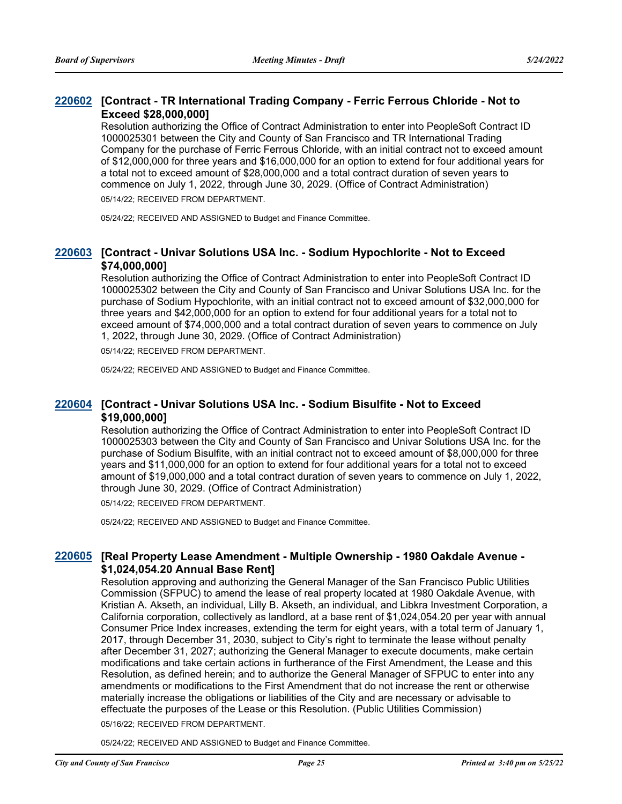#### **[Contract - TR International Trading Company - Ferric Ferrous Chloride - Not to [220602](http://sfgov.legistar.com/gateway.aspx?m=l&id=38794) Exceed \$28,000,000]**

Resolution authorizing the Office of Contract Administration to enter into PeopleSoft Contract ID 1000025301 between the City and County of San Francisco and TR International Trading Company for the purchase of Ferric Ferrous Chloride, with an initial contract not to exceed amount of \$12,000,000 for three years and \$16,000,000 for an option to extend for four additional years for a total not to exceed amount of \$28,000,000 and a total contract duration of seven years to commence on July 1, 2022, through June 30, 2029. (Office of Contract Administration) 05/14/22; RECEIVED FROM DEPARTMENT.

05/24/22; RECEIVED AND ASSIGNED to Budget and Finance Committee.

#### **[Contract - Univar Solutions USA Inc. - Sodium Hypochlorite - Not to Exceed [220603](http://sfgov.legistar.com/gateway.aspx?m=l&id=38795) \$74,000,000]**

Resolution authorizing the Office of Contract Administration to enter into PeopleSoft Contract ID 1000025302 between the City and County of San Francisco and Univar Solutions USA Inc. for the purchase of Sodium Hypochlorite, with an initial contract not to exceed amount of \$32,000,000 for three years and \$42,000,000 for an option to extend for four additional years for a total not to exceed amount of \$74,000,000 and a total contract duration of seven years to commence on July 1, 2022, through June 30, 2029. (Office of Contract Administration)

05/14/22; RECEIVED FROM DEPARTMENT.

05/24/22; RECEIVED AND ASSIGNED to Budget and Finance Committee.

#### **[Contract - Univar Solutions USA Inc. - Sodium Bisulfite - Not to Exceed [220604](http://sfgov.legistar.com/gateway.aspx?m=l&id=38796) \$19,000,000]**

Resolution authorizing the Office of Contract Administration to enter into PeopleSoft Contract ID 1000025303 between the City and County of San Francisco and Univar Solutions USA Inc. for the purchase of Sodium Bisulfite, with an initial contract not to exceed amount of \$8,000,000 for three years and \$11,000,000 for an option to extend for four additional years for a total not to exceed amount of \$19,000,000 and a total contract duration of seven years to commence on July 1, 2022, through June 30, 2029. (Office of Contract Administration)

05/14/22; RECEIVED FROM DEPARTMENT.

05/24/22; RECEIVED AND ASSIGNED to Budget and Finance Committee.

#### **[Real Property Lease Amendment - Multiple Ownership - 1980 Oakdale Avenue - [220605](http://sfgov.legistar.com/gateway.aspx?m=l&id=38797) \$1,024,054.20 Annual Base Rent]**

Resolution approving and authorizing the General Manager of the San Francisco Public Utilities Commission (SFPUC) to amend the lease of real property located at 1980 Oakdale Avenue, with Kristian A. Akseth, an individual, Lilly B. Akseth, an individual, and Libkra Investment Corporation, a California corporation, collectively as landlord, at a base rent of \$1,024,054.20 per year with annual Consumer Price Index increases, extending the term for eight years, with a total term of January 1, 2017, through December 31, 2030, subject to City's right to terminate the lease without penalty after December 31, 2027; authorizing the General Manager to execute documents, make certain modifications and take certain actions in furtherance of the First Amendment, the Lease and this Resolution, as defined herein; and to authorize the General Manager of SFPUC to enter into any amendments or modifications to the First Amendment that do not increase the rent or otherwise materially increase the obligations or liabilities of the City and are necessary or advisable to effectuate the purposes of the Lease or this Resolution. (Public Utilities Commission)

05/16/22; RECEIVED FROM DEPARTMENT.

05/24/22; RECEIVED AND ASSIGNED to Budget and Finance Committee.